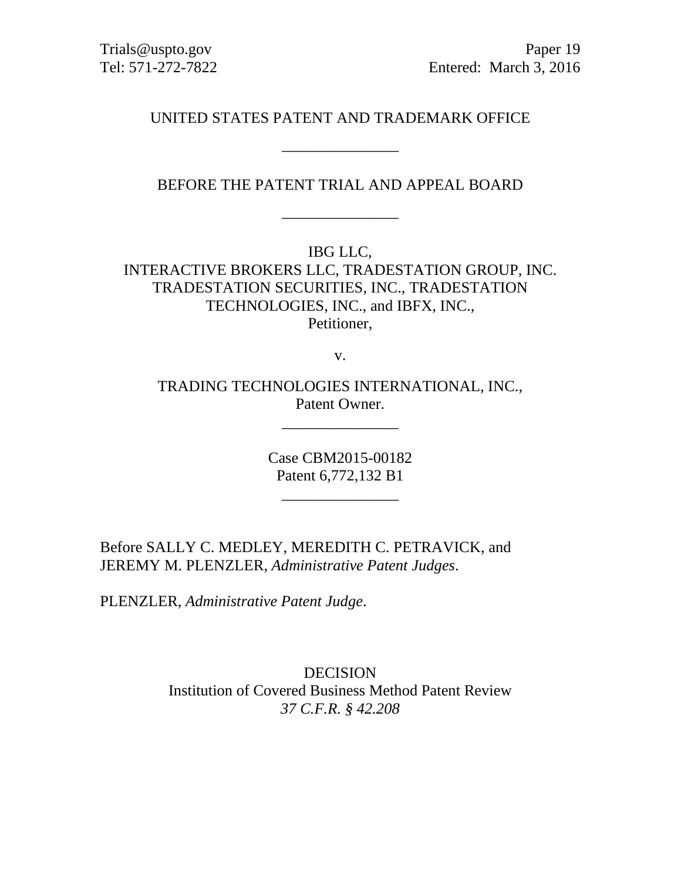Trials@uspto.gov Paper 19 Tel: 571-272-7822 Entered: March 3, 2016

UNITED STATES PATENT AND TRADEMARK OFFICE

\_\_\_\_\_\_\_\_\_\_\_\_\_\_\_

BEFORE THE PATENT TRIAL AND APPEAL BOARD

\_\_\_\_\_\_\_\_\_\_\_\_\_\_\_

IBG LLC,

INTERACTIVE BROKERS LLC, TRADESTATION GROUP, INC. TRADESTATION SECURITIES, INC., TRADESTATION TECHNOLOGIES, INC., and IBFX, INC., Petitioner,

v.

TRADING TECHNOLOGIES INTERNATIONAL, INC., Patent Owner.

\_\_\_\_\_\_\_\_\_\_\_\_\_\_\_

Case CBM2015-00182 Patent 6,772,132 B1

Before SALLY C. MEDLEY, MEREDITH C. PETRAVICK, and JEREMY M. PLENZLER, *Administrative Patent Judges*.

PLENZLER, *Administrative Patent Judge*.

DECISION Institution of Covered Business Method Patent Review *37 C.F.R. § 42.208*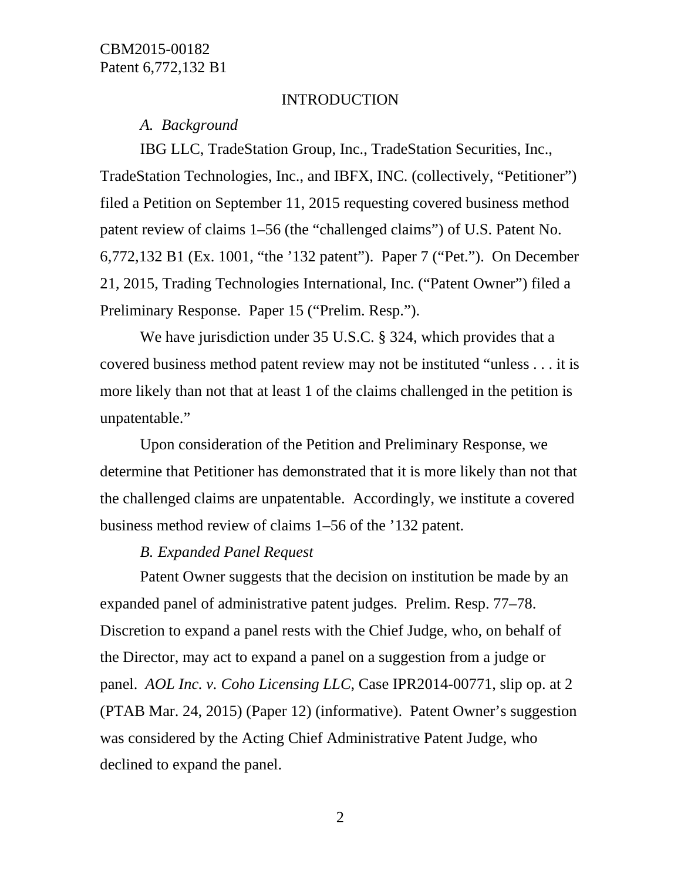#### INTRODUCTION

### *A. Background*

IBG LLC, TradeStation Group, Inc., TradeStation Securities, Inc., TradeStation Technologies, Inc., and IBFX, INC. (collectively, "Petitioner") filed a Petition on September 11, 2015 requesting covered business method patent review of claims 1–56 (the "challenged claims") of U.S. Patent No. 6,772,132 B1 (Ex. 1001, "the '132 patent"). Paper 7 ("Pet."). On December 21, 2015, Trading Technologies International, Inc. ("Patent Owner") filed a Preliminary Response. Paper 15 ("Prelim. Resp.").

We have jurisdiction under 35 U.S.C. § 324, which provides that a covered business method patent review may not be instituted "unless . . . it is more likely than not that at least 1 of the claims challenged in the petition is unpatentable."

Upon consideration of the Petition and Preliminary Response, we determine that Petitioner has demonstrated that it is more likely than not that the challenged claims are unpatentable. Accordingly, we institute a covered business method review of claims 1–56 of the '132 patent.

#### *B. Expanded Panel Request*

Patent Owner suggests that the decision on institution be made by an expanded panel of administrative patent judges. Prelim. Resp. 77–78. Discretion to expand a panel rests with the Chief Judge, who, on behalf of the Director, may act to expand a panel on a suggestion from a judge or panel. *AOL Inc. v. Coho Licensing LLC,* Case IPR2014-00771, slip op. at 2 (PTAB Mar. 24, 2015) (Paper 12) (informative). Patent Owner's suggestion was considered by the Acting Chief Administrative Patent Judge, who declined to expand the panel.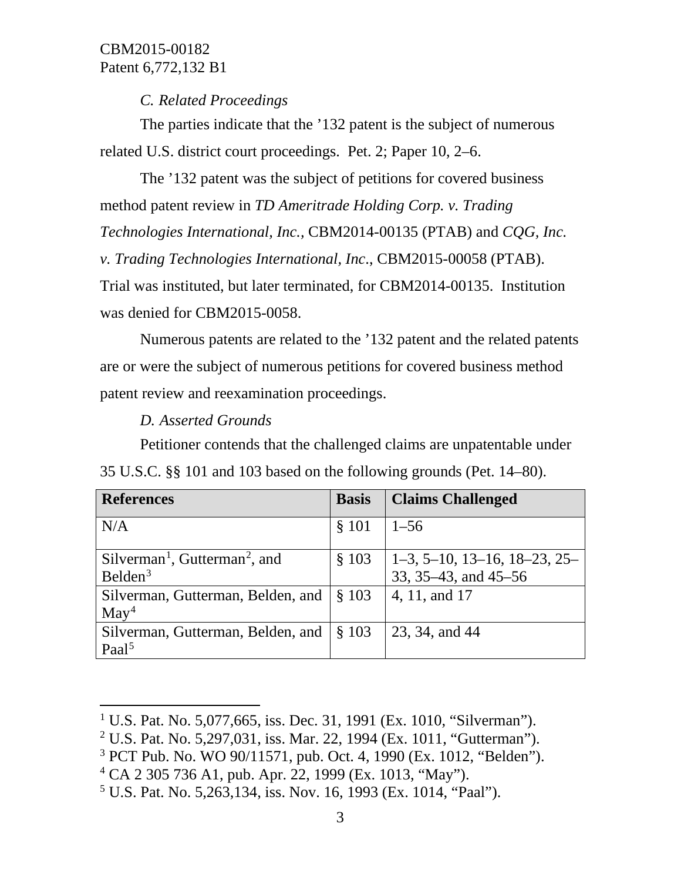# *C. Related Proceedings*

The parties indicate that the '132 patent is the subject of numerous related U.S. district court proceedings. Pet. 2; Paper 10, 2–6.

The '132 patent was the subject of petitions for covered business method patent review in *TD Ameritrade Holding Corp. v. Trading Technologies International, Inc.,* CBM2014-00135 (PTAB) and *CQG, Inc. v. Trading Technologies International, Inc*., CBM2015-00058 (PTAB). Trial was instituted, but later terminated, for CBM2014-00135. Institution was denied for CBM2015-0058.

Numerous patents are related to the '132 patent and the related patents are or were the subject of numerous petitions for covered business method patent review and reexamination proceedings.

*D. Asserted Grounds*

 $\overline{\phantom{a}}$ 

Petitioner contends that the challenged claims are unpatentable under 35 U.S.C. §§ 101 and 103 based on the following grounds (Pet. 14–80).

| <b>References</b>                           | <b>Basis</b> | <b>Claims Challenged</b>       |
|---------------------------------------------|--------------|--------------------------------|
| N/A                                         | § 101        | $1 - 56$                       |
| $Silverman1$ , Gutterman <sup>2</sup> , and | \$103        | $1-3, 5-10, 13-16, 18-23, 25-$ |
| Belden $3$                                  |              | 33, 35–43, and 45–56           |
| Silverman, Gutterman, Belden, and           | \$103        | 4, 11, and 17                  |
| $\text{May}^4$                              |              |                                |
| Silverman, Gutterman, Belden, and           | \$103        | 23, 34, and 44                 |
| Paal <sup>5</sup>                           |              |                                |

<span id="page-2-2"></span><sup>3</sup> PCT Pub. No. WO 90/11571, pub. Oct. 4, 1990 (Ex. 1012, "Belden").

<span id="page-2-0"></span><sup>&</sup>lt;sup>1</sup> U.S. Pat. No. 5,077,665, iss. Dec. 31, 1991 (Ex. 1010, "Silverman").

<span id="page-2-1"></span><sup>&</sup>lt;sup>2</sup> U.S. Pat. No. 5,297,031, iss. Mar. 22, 1994 (Ex. 1011, "Gutterman").

<span id="page-2-3"></span><sup>4</sup> CA 2 305 736 A1, pub. Apr. 22, 1999 (Ex. 1013, "May").

<span id="page-2-4"></span><sup>&</sup>lt;sup>5</sup> U.S. Pat. No. 5,263,134, iss. Nov. 16, 1993 (Ex. 1014, "Paal").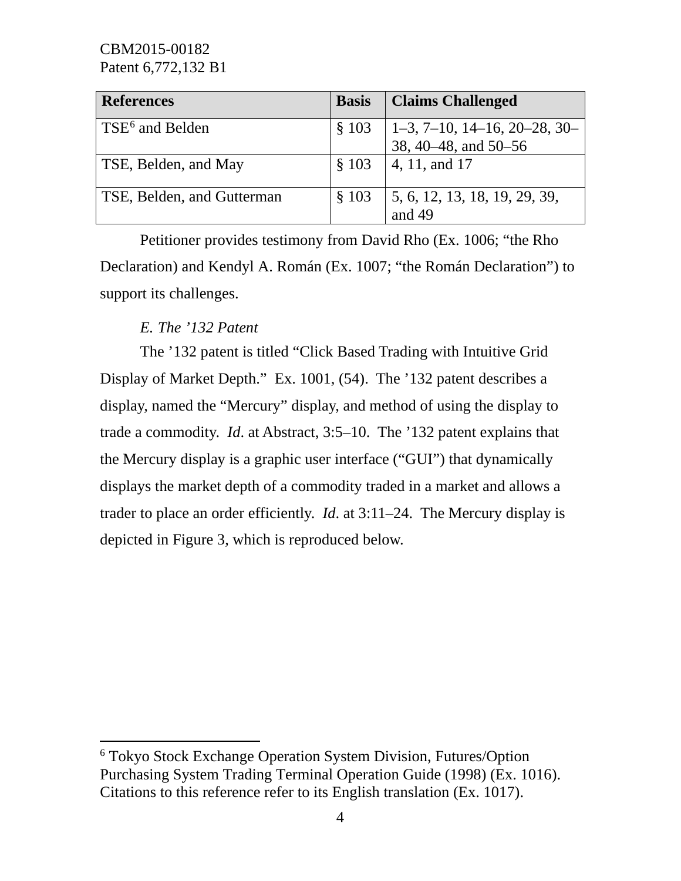| <b>References</b>           | <b>Basis</b> | <b>Claims Challenged</b>                                                              |
|-----------------------------|--------------|---------------------------------------------------------------------------------------|
| TSE <sup>6</sup> and Belden | \$103        | $\begin{array}{ l }\n1-3, 7-10, 14-16, 20-28, 30-\n38, 40-48, and 50-56\n\end{array}$ |
| TSE, Belden, and May        | $§$ 103      | $ 4, 11,$ and 17                                                                      |
| TSE, Belden, and Gutterman  | \$103        | 5, 6, 12, 13, 18, 19, 29, 39,<br>and $49$                                             |

Petitioner provides testimony from David Rho (Ex. 1006; "the Rho Declaration) and Kendyl A. Román (Ex. 1007; "the Román Declaration") to support its challenges.

# *E. The '132 Patent*

l

The '132 patent is titled "Click Based Trading with Intuitive Grid Display of Market Depth." Ex. 1001, (54). The '132 patent describes a display, named the "Mercury" display, and method of using the display to trade a commodity. *Id*. at Abstract, 3:5–10. The '132 patent explains that the Mercury display is a graphic user interface ("GUI") that dynamically displays the market depth of a commodity traded in a market and allows a trader to place an order efficiently. *Id*. at 3:11–24. The Mercury display is depicted in Figure 3, which is reproduced below.

<span id="page-3-0"></span><sup>6</sup> Tokyo Stock Exchange Operation System Division, Futures/Option Purchasing System Trading Terminal Operation Guide (1998) (Ex. 1016). Citations to this reference refer to its English translation (Ex. 1017).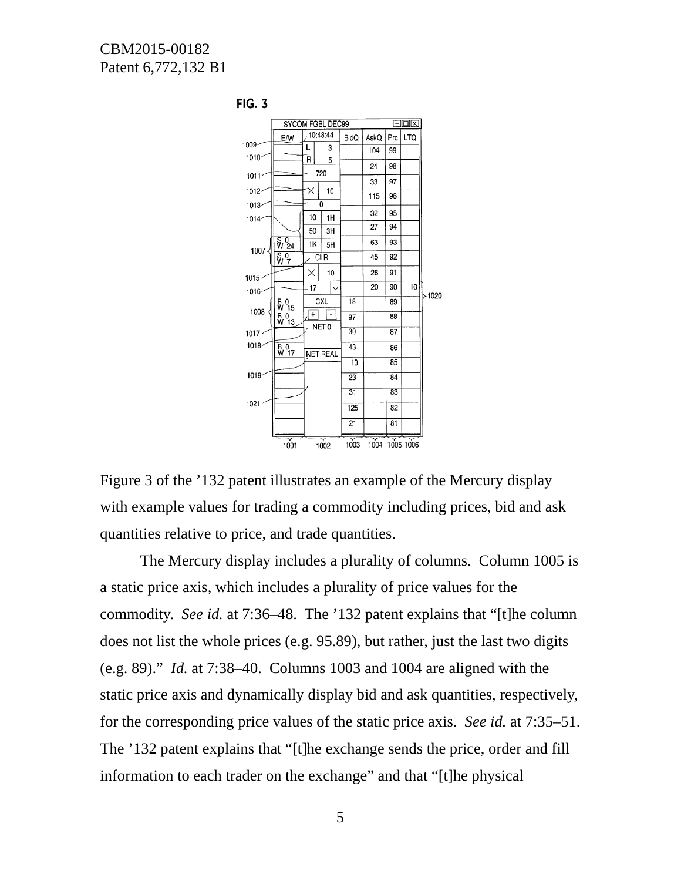

**FIG. 3** 

Figure 3 of the '132 patent illustrates an example of the Mercury display with example values for trading a commodity including prices, bid and ask quantities relative to price, and trade quantities.

The Mercury display includes a plurality of columns. Column 1005 is a static price axis, which includes a plurality of price values for the commodity. *See id.* at 7:36–48. The '132 patent explains that "[t]he column does not list the whole prices (e.g. 95.89), but rather, just the last two digits (e.g. 89)." *Id.* at 7:38–40. Columns 1003 and 1004 are aligned with the static price axis and dynamically display bid and ask quantities, respectively, for the corresponding price values of the static price axis. *See id.* at 7:35–51. The '132 patent explains that "[t]he exchange sends the price, order and fill information to each trader on the exchange" and that "[t]he physical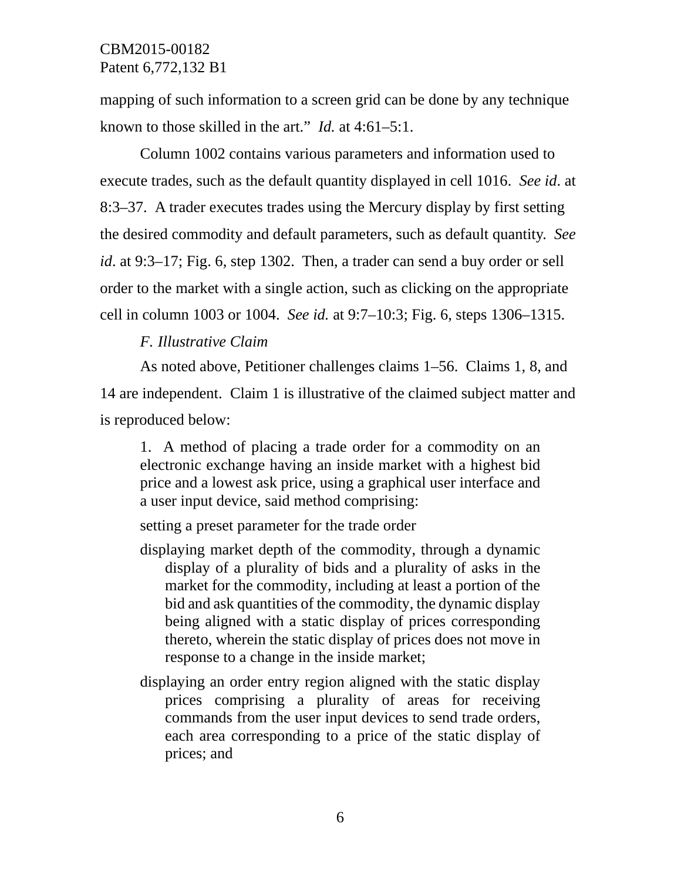mapping of such information to a screen grid can be done by any technique known to those skilled in the art." *Id.* at 4:61–5:1.

Column 1002 contains various parameters and information used to execute trades, such as the default quantity displayed in cell 1016. *See id*. at 8:3–37. A trader executes trades using the Mercury display by first setting the desired commodity and default parameters, such as default quantity. *See id*. at 9:3–17; Fig. 6, step 1302. Then, a trader can send a buy order or sell order to the market with a single action, such as clicking on the appropriate cell in column 1003 or 1004. *See id.* at 9:7–10:3; Fig. 6, steps 1306–1315.

# *F. Illustrative Claim*

As noted above, Petitioner challenges claims 1–56. Claims 1, 8, and 14 are independent. Claim 1 is illustrative of the claimed subject matter and is reproduced below:

1. A method of placing a trade order for a commodity on an electronic exchange having an inside market with a highest bid price and a lowest ask price, using a graphical user interface and a user input device, said method comprising:

setting a preset parameter for the trade order

- displaying market depth of the commodity, through a dynamic display of a plurality of bids and a plurality of asks in the market for the commodity, including at least a portion of the bid and ask quantities of the commodity, the dynamic display being aligned with a static display of prices corresponding thereto, wherein the static display of prices does not move in response to a change in the inside market;
- displaying an order entry region aligned with the static display prices comprising a plurality of areas for receiving commands from the user input devices to send trade orders, each area corresponding to a price of the static display of prices; and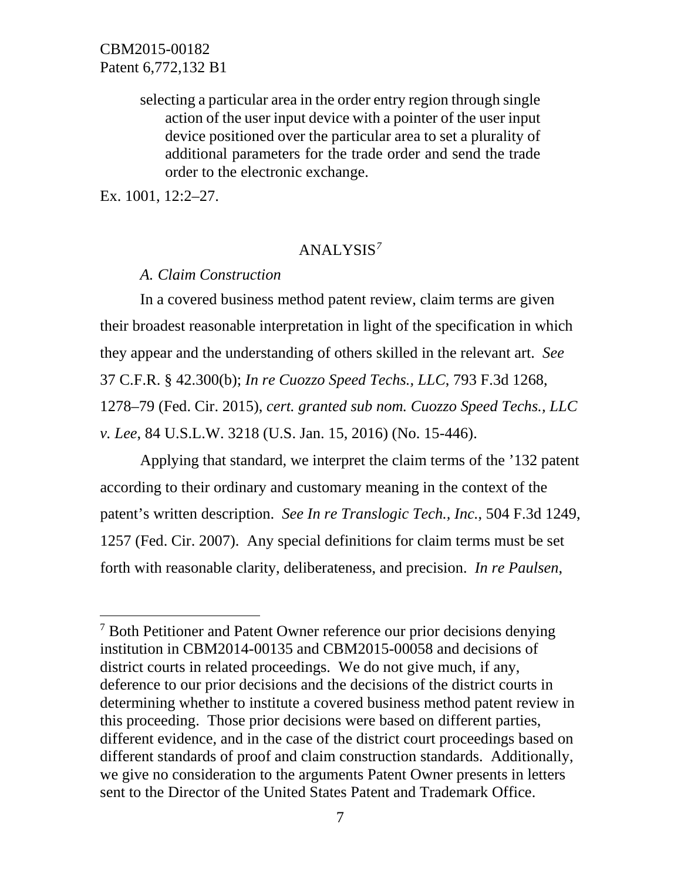selecting a particular area in the order entry region through single action of the user input device with a pointer of the user input device positioned over the particular area to set a plurality of additional parameters for the trade order and send the trade order to the electronic exchange.

Ex. 1001, 12:2–27.

 $\overline{\phantom{a}}$ 

### ANALYSIS*[7](#page-6-0)*

*A. Claim Construction*

In a covered business method patent review, claim terms are given their broadest reasonable interpretation in light of the specification in which they appear and the understanding of others skilled in the relevant art. *See*  37 C.F.R. § 42.300(b); *In re Cuozzo Speed Techs., LLC*, 793 F.3d 1268, 1278–79 (Fed. Cir. 2015), *cert. granted sub nom. Cuozzo Speed Techs., LLC v. Lee*, 84 U.S.L.W. 3218 (U.S. Jan. 15, 2016) (No. 15-446).

Applying that standard, we interpret the claim terms of the '132 patent according to their ordinary and customary meaning in the context of the patent's written description. *See In re Translogic Tech., Inc.*, 504 F.3d 1249, 1257 (Fed. Cir. 2007). Any special definitions for claim terms must be set forth with reasonable clarity, deliberateness, and precision. *In re Paulsen*,

<span id="page-6-0"></span><sup>&</sup>lt;sup>7</sup> Both Petitioner and Patent Owner reference our prior decisions denying institution in CBM2014-00135 and CBM2015-00058 and decisions of district courts in related proceedings. We do not give much, if any, deference to our prior decisions and the decisions of the district courts in determining whether to institute a covered business method patent review in this proceeding. Those prior decisions were based on different parties, different evidence, and in the case of the district court proceedings based on different standards of proof and claim construction standards. Additionally, we give no consideration to the arguments Patent Owner presents in letters sent to the Director of the United States Patent and Trademark Office.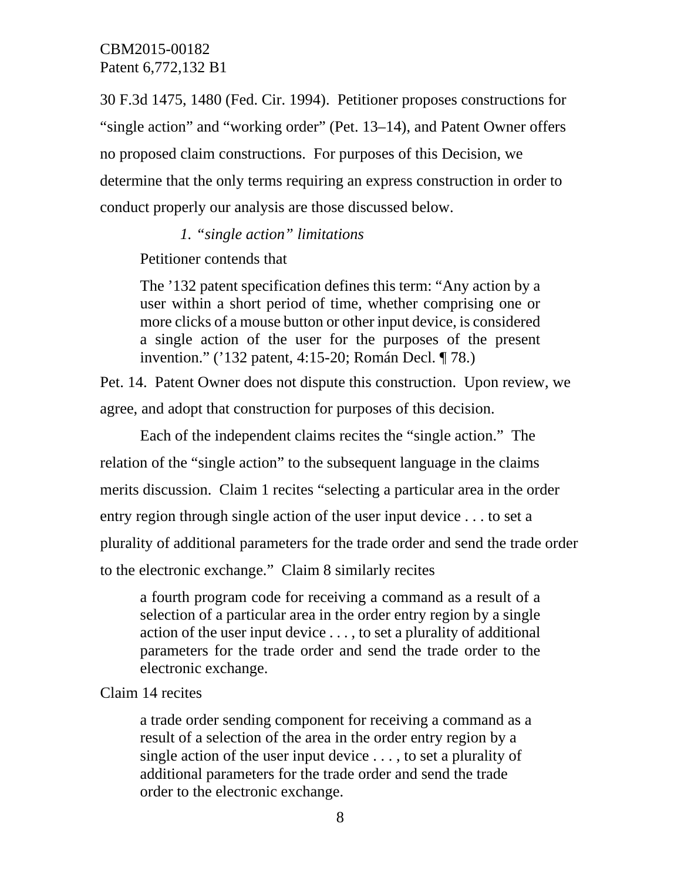30 F.3d 1475, 1480 (Fed. Cir. 1994). Petitioner proposes constructions for "single action" and "working order" (Pet. 13–14), and Patent Owner offers no proposed claim constructions. For purposes of this Decision, we determine that the only terms requiring an express construction in order to conduct properly our analysis are those discussed below.

### *1. "single action" limitations*

Petitioner contends that

The '132 patent specification defines this term: "Any action by a user within a short period of time, whether comprising one or more clicks of a mouse button or other input device, is considered a single action of the user for the purposes of the present invention." ('132 patent, 4:15-20; Román Decl. ¶ 78.)

Pet. 14. Patent Owner does not dispute this construction. Upon review, we agree, and adopt that construction for purposes of this decision.

Each of the independent claims recites the "single action." The relation of the "single action" to the subsequent language in the claims merits discussion. Claim 1 recites "selecting a particular area in the order entry region through single action of the user input device . . . to set a plurality of additional parameters for the trade order and send the trade order to the electronic exchange." Claim 8 similarly recites

a fourth program code for receiving a command as a result of a selection of a particular area in the order entry region by a single action of the user input device . . . , to set a plurality of additional parameters for the trade order and send the trade order to the electronic exchange.

# Claim 14 recites

a trade order sending component for receiving a command as a result of a selection of the area in the order entry region by a single action of the user input device . . . , to set a plurality of additional parameters for the trade order and send the trade order to the electronic exchange.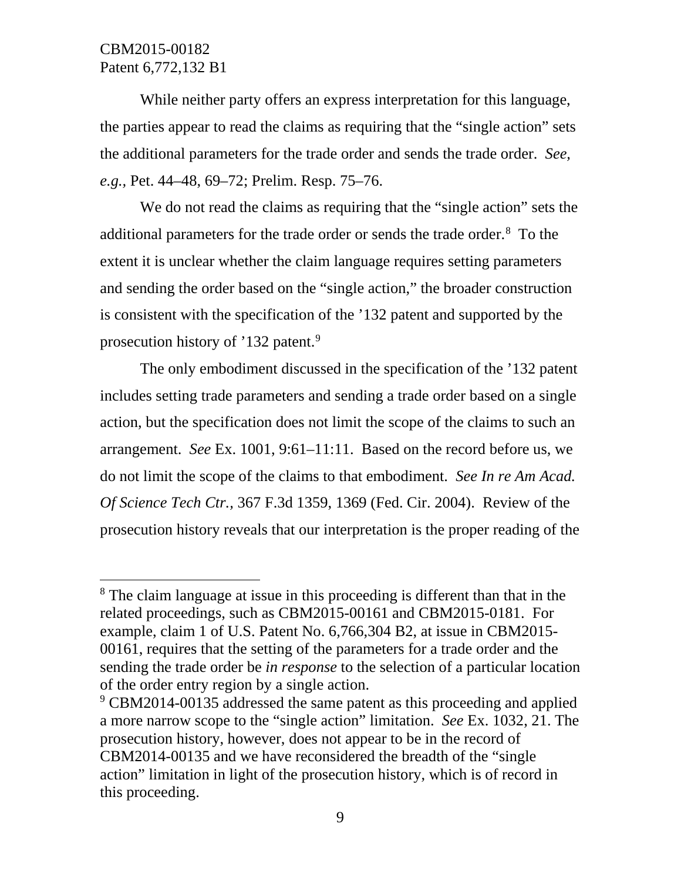$\overline{\phantom{a}}$ 

While neither party offers an express interpretation for this language, the parties appear to read the claims as requiring that the "single action" sets the additional parameters for the trade order and sends the trade order. *See, e.g.,* Pet. 44–48, 69–72; Prelim. Resp. 75–76.

We do not read the claims as requiring that the "single action" sets the additional parameters for the trade order or sends the trade order.<sup>[8](#page-8-0)</sup> To the extent it is unclear whether the claim language requires setting parameters and sending the order based on the "single action," the broader construction is consistent with the specification of the '132 patent and supported by the prosecution history of '132 patent.<sup>[9](#page-8-1)</sup>

The only embodiment discussed in the specification of the '132 patent includes setting trade parameters and sending a trade order based on a single action, but the specification does not limit the scope of the claims to such an arrangement. *See* Ex. 1001, 9:61–11:11. Based on the record before us, we do not limit the scope of the claims to that embodiment. *See In re Am Acad. Of Science Tech Ctr.,* 367 F.3d 1359, 1369 (Fed. Cir. 2004). Review of the prosecution history reveals that our interpretation is the proper reading of the

<span id="page-8-0"></span><sup>&</sup>lt;sup>8</sup> The claim language at issue in this proceeding is different than that in the related proceedings, such as CBM2015-00161 and CBM2015-0181. For example, claim 1 of U.S. Patent No. 6,766,304 B2, at issue in CBM2015- 00161, requires that the setting of the parameters for a trade order and the sending the trade order be *in response* to the selection of a particular location of the order entry region by a single action.

<span id="page-8-1"></span><sup>&</sup>lt;sup>9</sup> CBM2014-00135 addressed the same patent as this proceeding and applied a more narrow scope to the "single action" limitation. *See* Ex. 1032, 21. The prosecution history, however, does not appear to be in the record of CBM2014-00135 and we have reconsidered the breadth of the "single action" limitation in light of the prosecution history, which is of record in this proceeding.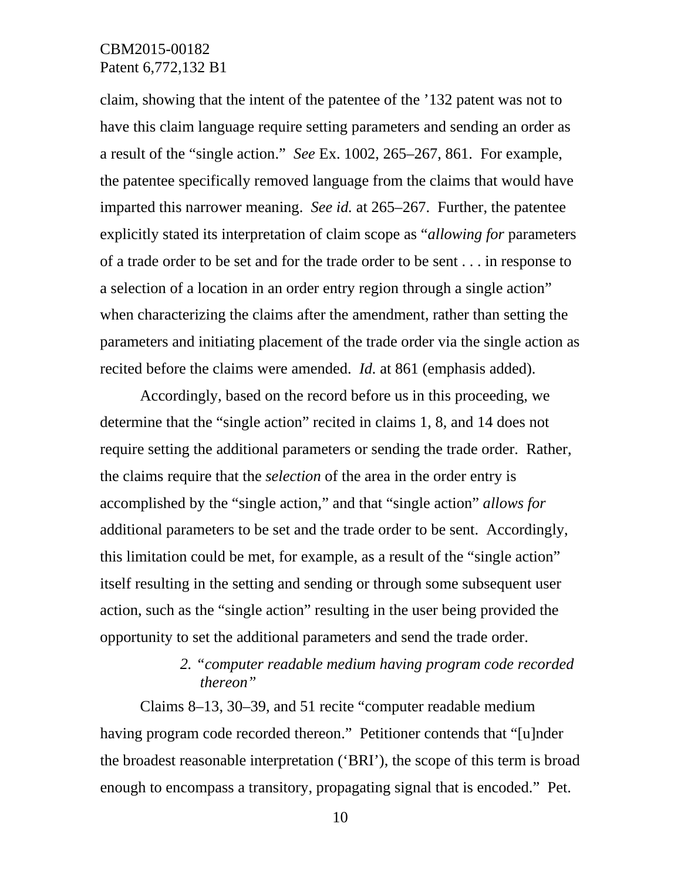claim, showing that the intent of the patentee of the '132 patent was not to have this claim language require setting parameters and sending an order as a result of the "single action." *See* Ex. 1002, 265–267, 861. For example, the patentee specifically removed language from the claims that would have imparted this narrower meaning. *See id.* at 265–267. Further, the patentee explicitly stated its interpretation of claim scope as "*allowing for* parameters of a trade order to be set and for the trade order to be sent . . . in response to a selection of a location in an order entry region through a single action" when characterizing the claims after the amendment, rather than setting the parameters and initiating placement of the trade order via the single action as recited before the claims were amended. *Id.* at 861 (emphasis added).

Accordingly, based on the record before us in this proceeding, we determine that the "single action" recited in claims 1, 8, and 14 does not require setting the additional parameters or sending the trade order. Rather, the claims require that the *selection* of the area in the order entry is accomplished by the "single action," and that "single action" *allows for* additional parameters to be set and the trade order to be sent. Accordingly, this limitation could be met, for example, as a result of the "single action" itself resulting in the setting and sending or through some subsequent user action, such as the "single action" resulting in the user being provided the opportunity to set the additional parameters and send the trade order.

# *2. "computer readable medium having program code recorded thereon"*

Claims 8–13, 30–39, and 51 recite "computer readable medium having program code recorded thereon." Petitioner contends that "[u]nder the broadest reasonable interpretation ('BRI'), the scope of this term is broad enough to encompass a transitory, propagating signal that is encoded." Pet.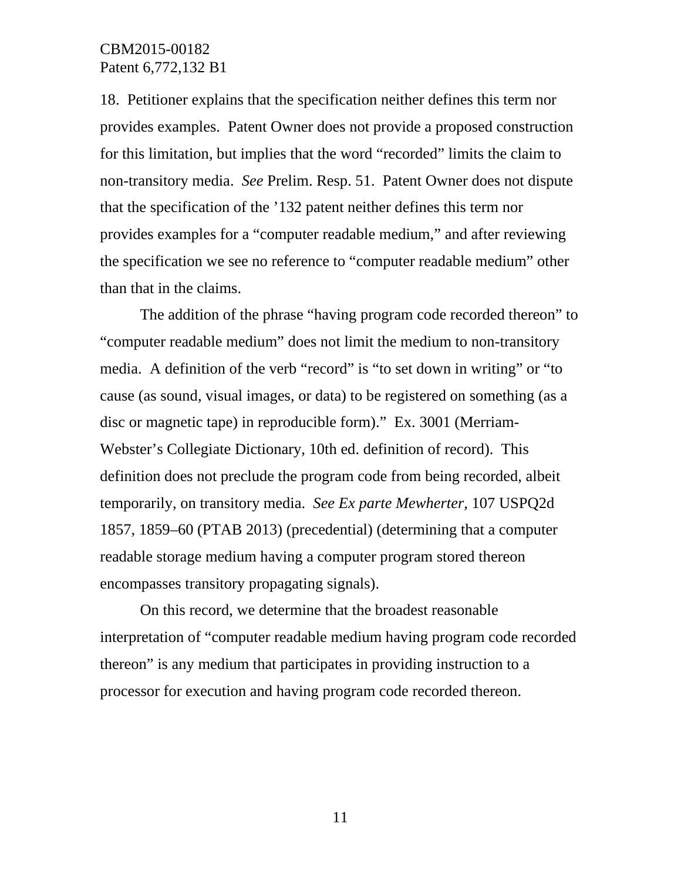18. Petitioner explains that the specification neither defines this term nor provides examples. Patent Owner does not provide a proposed construction for this limitation, but implies that the word "recorded" limits the claim to non-transitory media. *See* Prelim. Resp. 51. Patent Owner does not dispute that the specification of the '132 patent neither defines this term nor provides examples for a "computer readable medium," and after reviewing the specification we see no reference to "computer readable medium" other than that in the claims.

The addition of the phrase "having program code recorded thereon" to "computer readable medium" does not limit the medium to non-transitory media. A definition of the verb "record" is "to set down in writing" or "to cause (as sound, visual images, or data) to be registered on something (as a disc or magnetic tape) in reproducible form)." Ex. 3001 (Merriam-Webster's Collegiate Dictionary, 10th ed. definition of record). This definition does not preclude the program code from being recorded, albeit temporarily, on transitory media. *See Ex parte Mewherter,* 107 USPQ2d 1857, 1859–60 (PTAB 2013) (precedential) (determining that a computer readable storage medium having a computer program stored thereon encompasses transitory propagating signals).

On this record, we determine that the broadest reasonable interpretation of "computer readable medium having program code recorded thereon" is any medium that participates in providing instruction to a processor for execution and having program code recorded thereon.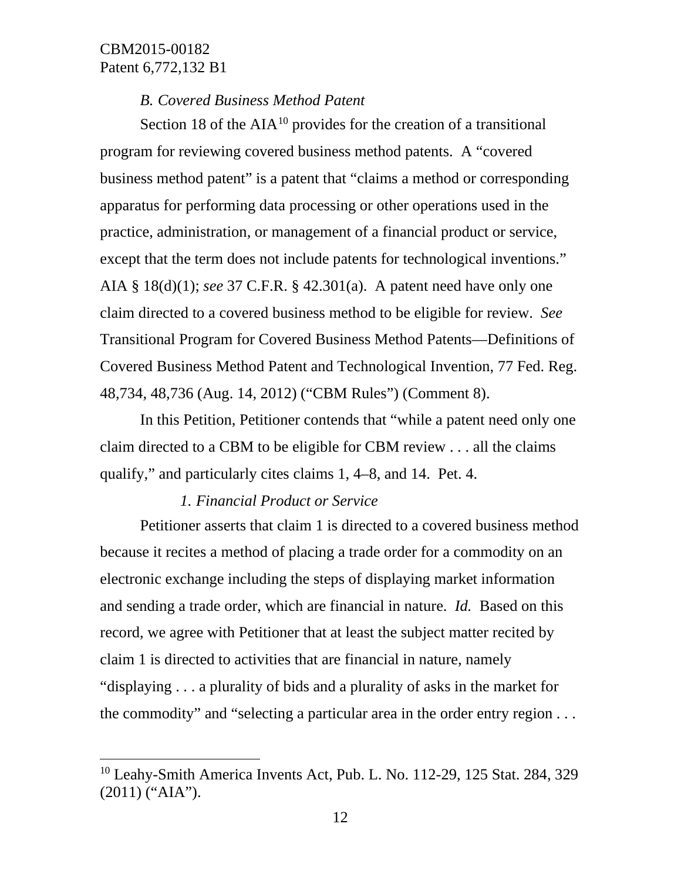$\overline{\phantom{a}}$ 

# *B. Covered Business Method Patent*

Section 18 of the  $AIA<sup>10</sup>$  $AIA<sup>10</sup>$  $AIA<sup>10</sup>$  provides for the creation of a transitional program for reviewing covered business method patents. A "covered business method patent" is a patent that "claims a method or corresponding apparatus for performing data processing or other operations used in the practice, administration, or management of a financial product or service, except that the term does not include patents for technological inventions." AIA § 18(d)(1); *see* 37 C.F.R. § 42.301(a). A patent need have only one claim directed to a covered business method to be eligible for review. *See* Transitional Program for Covered Business Method Patents—Definitions of Covered Business Method Patent and Technological Invention, 77 Fed. Reg. 48,734, 48,736 (Aug. 14, 2012) ("CBM Rules") (Comment 8).

In this Petition, Petitioner contends that "while a patent need only one claim directed to a CBM to be eligible for CBM review . . . all the claims qualify," and particularly cites claims 1, 4–8, and 14. Pet. 4.

# *1. Financial Product or Service*

Petitioner asserts that claim 1 is directed to a covered business method because it recites a method of placing a trade order for a commodity on an electronic exchange including the steps of displaying market information and sending a trade order, which are financial in nature. *Id.* Based on this record, we agree with Petitioner that at least the subject matter recited by claim 1 is directed to activities that are financial in nature, namely "displaying . . . a plurality of bids and a plurality of asks in the market for the commodity" and "selecting a particular area in the order entry region . . .

<span id="page-11-0"></span><sup>&</sup>lt;sup>10</sup> Leahy-Smith America Invents Act, Pub. L. No. 112-29, 125 Stat. 284, 329 (2011) ("AIA").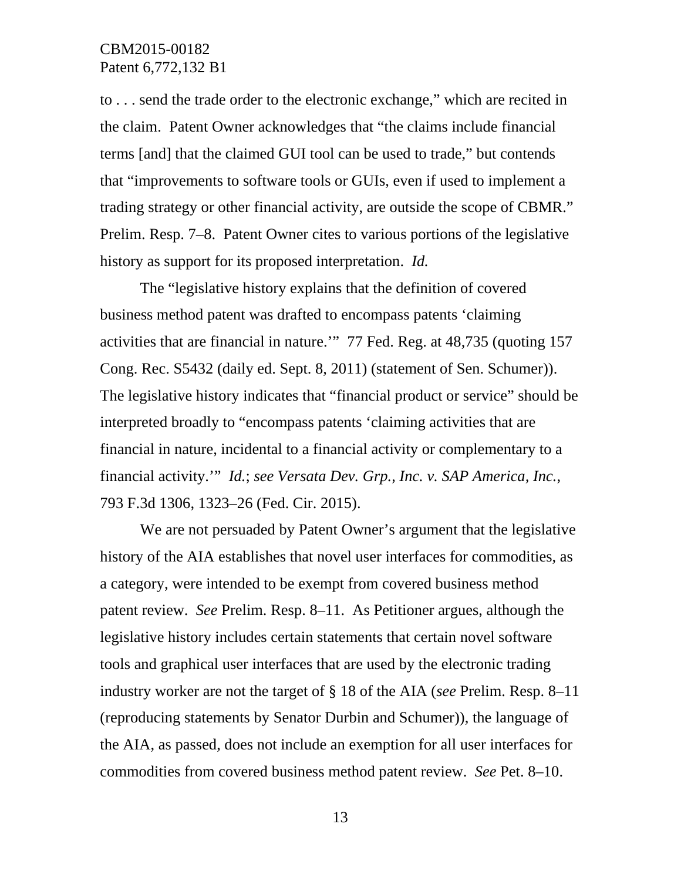to . . . send the trade order to the electronic exchange," which are recited in the claim. Patent Owner acknowledges that "the claims include financial terms [and] that the claimed GUI tool can be used to trade," but contends that "improvements to software tools or GUIs, even if used to implement a trading strategy or other financial activity, are outside the scope of CBMR." Prelim. Resp. 7–8. Patent Owner cites to various portions of the legislative history as support for its proposed interpretation. *Id.* 

The "legislative history explains that the definition of covered business method patent was drafted to encompass patents 'claiming activities that are financial in nature.'" 77 Fed. Reg. at 48,735 (quoting 157 Cong. Rec. S5432 (daily ed. Sept. 8, 2011) (statement of Sen. Schumer)). The legislative history indicates that "financial product or service" should be interpreted broadly to "encompass patents 'claiming activities that are financial in nature, incidental to a financial activity or complementary to a financial activity.'" *Id.*; *see Versata Dev. Grp., Inc. v. SAP America, Inc.,*  793 F.3d 1306, 1323–26 (Fed. Cir. 2015).

We are not persuaded by Patent Owner's argument that the legislative history of the AIA establishes that novel user interfaces for commodities, as a category, were intended to be exempt from covered business method patent review. *See* Prelim. Resp. 8–11. As Petitioner argues, although the legislative history includes certain statements that certain novel software tools and graphical user interfaces that are used by the electronic trading industry worker are not the target of § 18 of the AIA (*see* Prelim. Resp. 8–11 (reproducing statements by Senator Durbin and Schumer)), the language of the AIA, as passed, does not include an exemption for all user interfaces for commodities from covered business method patent review. *See* Pet. 8–10.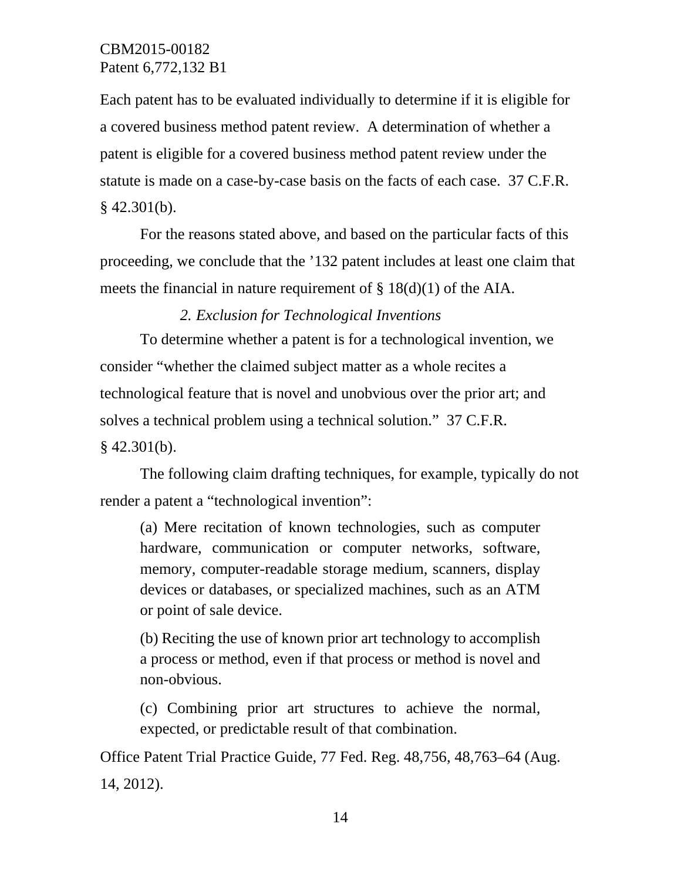Each patent has to be evaluated individually to determine if it is eligible for a covered business method patent review. A determination of whether a patent is eligible for a covered business method patent review under the statute is made on a case-by-case basis on the facts of each case. 37 C.F.R.  $§$  42.301(b).

For the reasons stated above, and based on the particular facts of this proceeding, we conclude that the '132 patent includes at least one claim that meets the financial in nature requirement of § 18(d)(1) of the AIA.

*2. Exclusion for Technological Inventions*

To determine whether a patent is for a technological invention, we consider "whether the claimed subject matter as a whole recites a technological feature that is novel and unobvious over the prior art; and solves a technical problem using a technical solution." 37 C.F.R.  $§$  42.301(b).

The following claim drafting techniques, for example, typically do not render a patent a "technological invention":

(a) Mere recitation of known technologies, such as computer hardware, communication or computer networks, software, memory, computer-readable storage medium, scanners, display devices or databases, or specialized machines, such as an ATM or point of sale device.

(b) Reciting the use of known prior art technology to accomplish a process or method, even if that process or method is novel and non-obvious.

(c) Combining prior art structures to achieve the normal, expected, or predictable result of that combination.

Office Patent Trial Practice Guide, 77 Fed. Reg. 48,756, 48,763–64 (Aug. 14, 2012).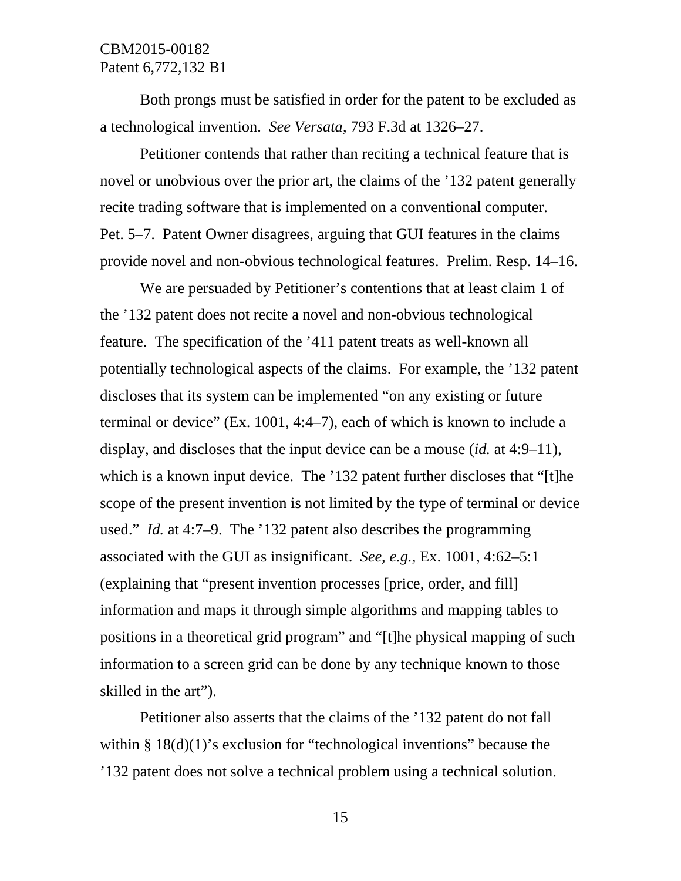Both prongs must be satisfied in order for the patent to be excluded as a technological invention. *See Versata*, 793 F.3d at 1326–27.

Petitioner contends that rather than reciting a technical feature that is novel or unobvious over the prior art, the claims of the '132 patent generally recite trading software that is implemented on a conventional computer. Pet. 5–7. Patent Owner disagrees, arguing that GUI features in the claims provide novel and non-obvious technological features. Prelim. Resp. 14–16.

We are persuaded by Petitioner's contentions that at least claim 1 of the '132 patent does not recite a novel and non-obvious technological feature. The specification of the '411 patent treats as well-known all potentially technological aspects of the claims. For example, the '132 patent discloses that its system can be implemented "on any existing or future terminal or device" (Ex. 1001, 4:4–7), each of which is known to include a display, and discloses that the input device can be a mouse (*id.* at 4:9–11), which is a known input device. The '132 patent further discloses that "[t]he scope of the present invention is not limited by the type of terminal or device used." *Id.* at 4:7–9. The '132 patent also describes the programming associated with the GUI as insignificant. *See, e.g.*, Ex. 1001, 4:62–5:1 (explaining that "present invention processes [price, order, and fill] information and maps it through simple algorithms and mapping tables to positions in a theoretical grid program" and "[t]he physical mapping of such information to a screen grid can be done by any technique known to those skilled in the art").

Petitioner also asserts that the claims of the '132 patent do not fall within  $§$  18(d)(1)'s exclusion for "technological inventions" because the '132 patent does not solve a technical problem using a technical solution.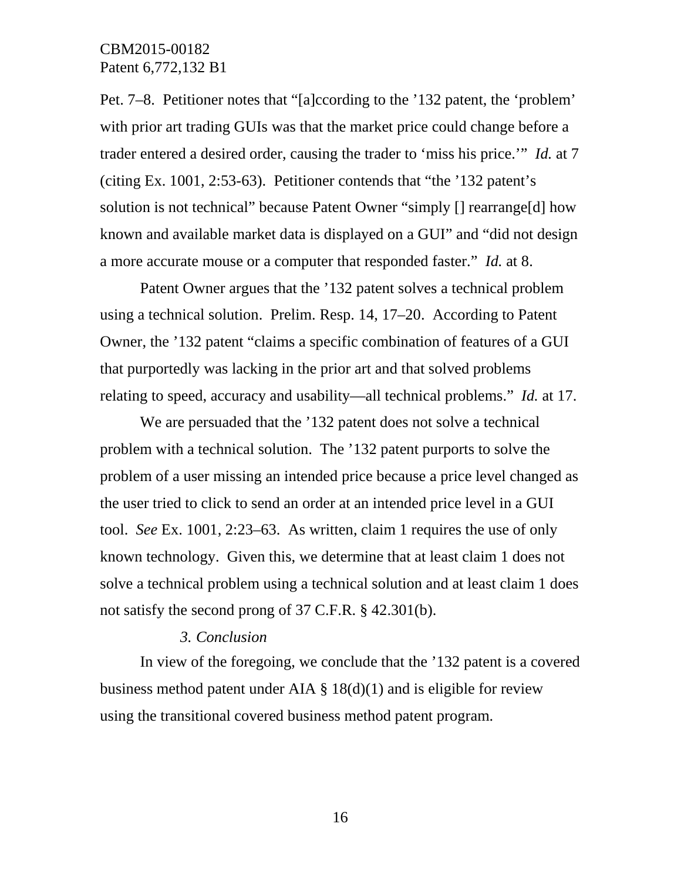Pet. 7–8. Petitioner notes that "[a]ccording to the '132 patent, the 'problem' with prior art trading GUIs was that the market price could change before a trader entered a desired order, causing the trader to 'miss his price.'" *Id.* at 7 (citing Ex. 1001, 2:53-63). Petitioner contends that "the '132 patent's solution is not technical" because Patent Owner "simply  $\iota$  rearrange<sup>[d]</sup> how known and available market data is displayed on a GUI" and "did not design a more accurate mouse or a computer that responded faster." *Id.* at 8.

Patent Owner argues that the '132 patent solves a technical problem using a technical solution. Prelim. Resp. 14, 17–20. According to Patent Owner, the '132 patent "claims a specific combination of features of a GUI that purportedly was lacking in the prior art and that solved problems relating to speed, accuracy and usability—all technical problems." *Id.* at 17.

We are persuaded that the '132 patent does not solve a technical problem with a technical solution. The '132 patent purports to solve the problem of a user missing an intended price because a price level changed as the user tried to click to send an order at an intended price level in a GUI tool. *See* Ex. 1001, 2:23–63. As written, claim 1 requires the use of only known technology. Given this, we determine that at least claim 1 does not solve a technical problem using a technical solution and at least claim 1 does not satisfy the second prong of 37 C.F.R. § 42.301(b).

#### *3. Conclusion*

In view of the foregoing, we conclude that the '132 patent is a covered business method patent under AIA  $\S$  18(d)(1) and is eligible for review using the transitional covered business method patent program.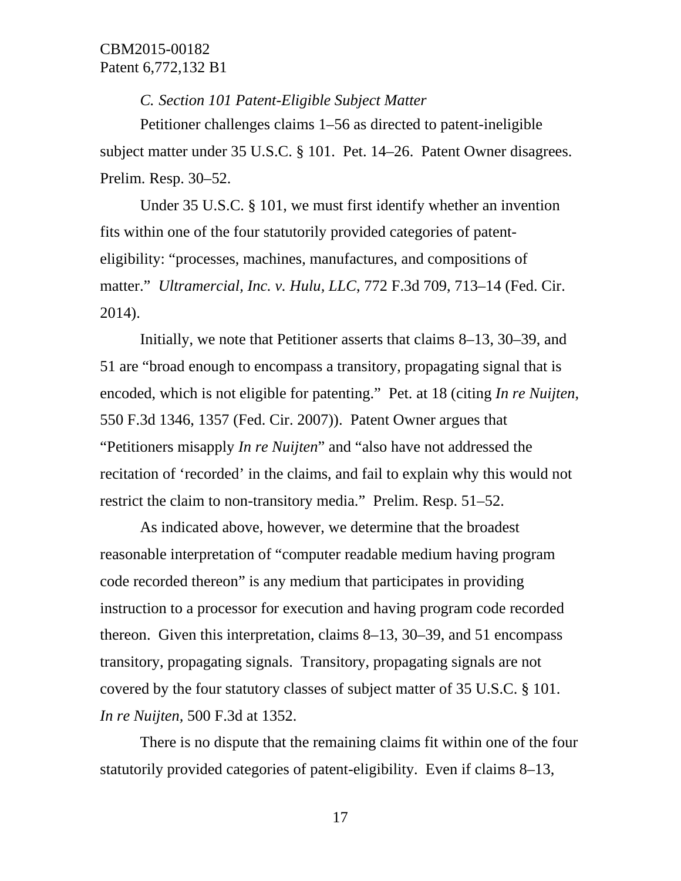*C. Section 101 Patent-Eligible Subject Matter*

Petitioner challenges claims 1–56 as directed to patent-ineligible subject matter under 35 U.S.C. § 101. Pet. 14–26. Patent Owner disagrees. Prelim. Resp. 30–52.

Under 35 U.S.C. § 101, we must first identify whether an invention fits within one of the four statutorily provided categories of patenteligibility: "processes, machines, manufactures, and compositions of matter." *Ultramercial, Inc. v. Hulu, LLC*, 772 F.3d 709, 713–14 (Fed. Cir. 2014).

Initially, we note that Petitioner asserts that claims 8–13, 30–39, and 51 are "broad enough to encompass a transitory, propagating signal that is encoded, which is not eligible for patenting." Pet. at 18 (citing *In re Nuijten*, 550 F.3d 1346, 1357 (Fed. Cir. 2007)). Patent Owner argues that "Petitioners misapply *In re Nuijten*" and "also have not addressed the recitation of 'recorded' in the claims, and fail to explain why this would not restrict the claim to non-transitory media." Prelim. Resp. 51–52.

As indicated above, however, we determine that the broadest reasonable interpretation of "computer readable medium having program code recorded thereon" is any medium that participates in providing instruction to a processor for execution and having program code recorded thereon. Given this interpretation, claims 8–13, 30–39, and 51 encompass transitory, propagating signals. Transitory, propagating signals are not covered by the four statutory classes of subject matter of 35 U.S.C. § 101. *In re Nuijten,* 500 F.3d at 1352.

There is no dispute that the remaining claims fit within one of the four statutorily provided categories of patent-eligibility. Even if claims 8–13,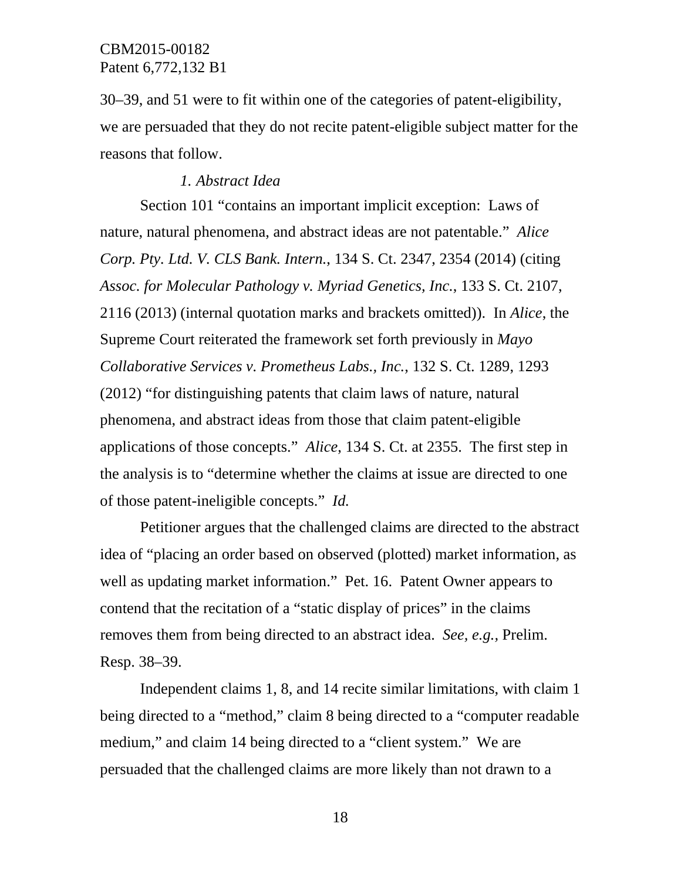30–39, and 51 were to fit within one of the categories of patent-eligibility, we are persuaded that they do not recite patent-eligible subject matter for the reasons that follow.

#### *1. Abstract Idea*

Section 101 "contains an important implicit exception: Laws of nature, natural phenomena, and abstract ideas are not patentable." *Alice Corp. Pty. Ltd. V. CLS Bank. Intern.*, 134 S. Ct. 2347, 2354 (2014) (citing *Assoc. for Molecular Pathology v. Myriad Genetics, Inc.*, 133 S. Ct. 2107, 2116 (2013) (internal quotation marks and brackets omitted)). In *Alice*, the Supreme Court reiterated the framework set forth previously in *Mayo Collaborative Services v. Prometheus Labs., Inc.*, 132 S. Ct. 1289, 1293 (2012) "for distinguishing patents that claim laws of nature, natural phenomena, and abstract ideas from those that claim patent-eligible applications of those concepts." *Alice*, 134 S. Ct. at 2355. The first step in the analysis is to "determine whether the claims at issue are directed to one of those patent-ineligible concepts." *Id.*

Petitioner argues that the challenged claims are directed to the abstract idea of "placing an order based on observed (plotted) market information, as well as updating market information." Pet. 16. Patent Owner appears to contend that the recitation of a "static display of prices" in the claims removes them from being directed to an abstract idea. *See, e.g.,* Prelim. Resp. 38–39.

Independent claims 1, 8, and 14 recite similar limitations, with claim 1 being directed to a "method," claim 8 being directed to a "computer readable medium," and claim 14 being directed to a "client system." We are persuaded that the challenged claims are more likely than not drawn to a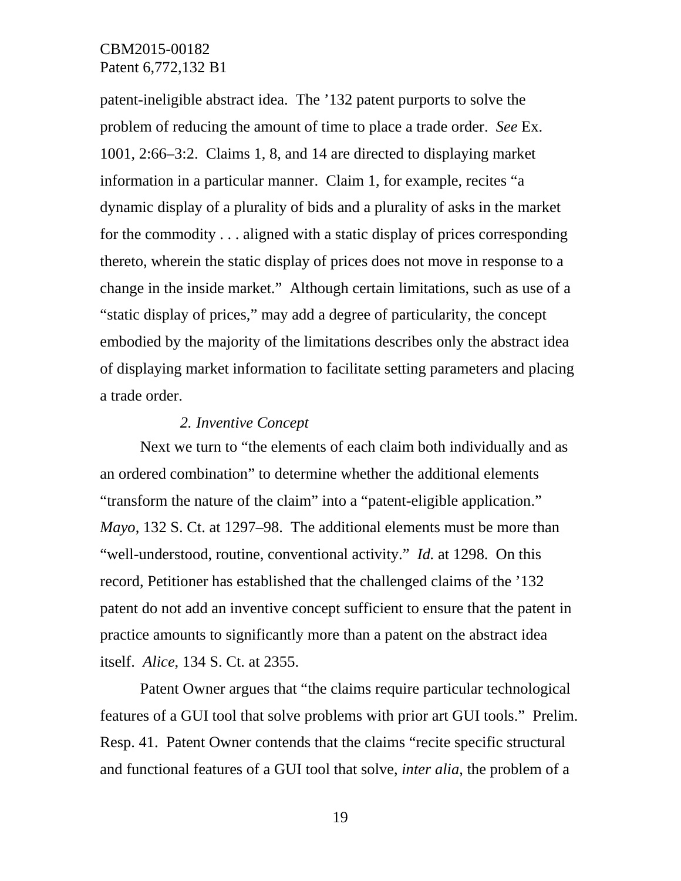patent-ineligible abstract idea. The '132 patent purports to solve the problem of reducing the amount of time to place a trade order. *See* Ex. 1001, 2:66–3:2. Claims 1, 8, and 14 are directed to displaying market information in a particular manner. Claim 1, for example, recites "a dynamic display of a plurality of bids and a plurality of asks in the market for the commodity . . . aligned with a static display of prices corresponding thereto, wherein the static display of prices does not move in response to a change in the inside market." Although certain limitations, such as use of a "static display of prices," may add a degree of particularity, the concept embodied by the majority of the limitations describes only the abstract idea of displaying market information to facilitate setting parameters and placing a trade order.

#### *2. Inventive Concept*

Next we turn to "the elements of each claim both individually and as an ordered combination" to determine whether the additional elements "transform the nature of the claim" into a "patent-eligible application." *Mayo*, 132 S. Ct. at 1297–98. The additional elements must be more than "well-understood, routine, conventional activity." *Id.* at 1298. On this record, Petitioner has established that the challenged claims of the '132 patent do not add an inventive concept sufficient to ensure that the patent in practice amounts to significantly more than a patent on the abstract idea itself. *Alice*, 134 S. Ct. at 2355.

Patent Owner argues that "the claims require particular technological features of a GUI tool that solve problems with prior art GUI tools." Prelim. Resp. 41. Patent Owner contends that the claims "recite specific structural and functional features of a GUI tool that solve, *inter alia*, the problem of a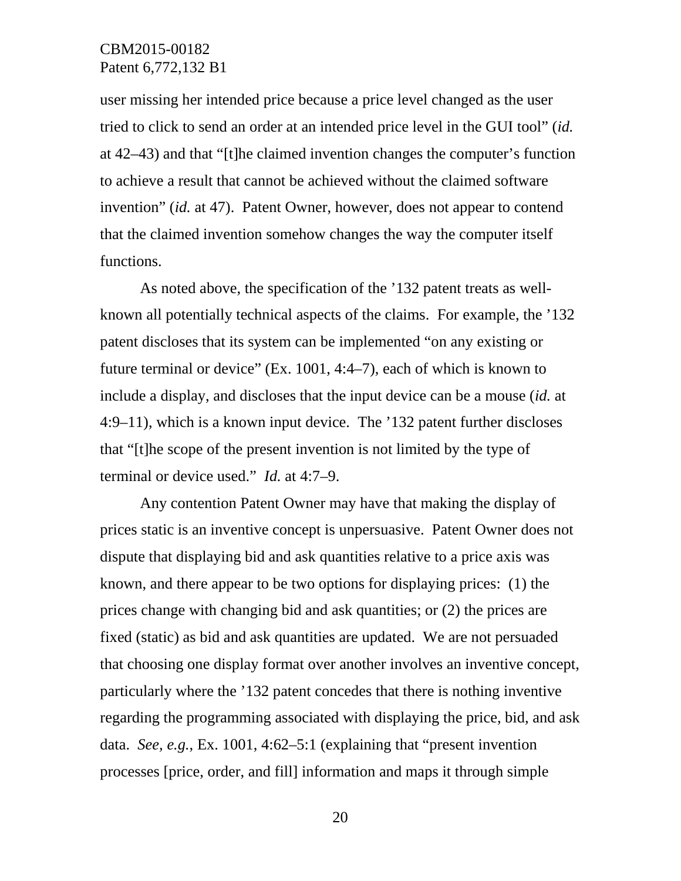user missing her intended price because a price level changed as the user tried to click to send an order at an intended price level in the GUI tool" (*id.* at 42–43) and that "[t]he claimed invention changes the computer's function to achieve a result that cannot be achieved without the claimed software invention" (*id.* at 47). Patent Owner, however, does not appear to contend that the claimed invention somehow changes the way the computer itself functions.

As noted above, the specification of the '132 patent treats as wellknown all potentially technical aspects of the claims. For example, the '132 patent discloses that its system can be implemented "on any existing or future terminal or device" (Ex. 1001, 4:4–7), each of which is known to include a display, and discloses that the input device can be a mouse (*id.* at 4:9–11), which is a known input device. The '132 patent further discloses that "[t]he scope of the present invention is not limited by the type of terminal or device used." *Id.* at 4:7–9.

Any contention Patent Owner may have that making the display of prices static is an inventive concept is unpersuasive. Patent Owner does not dispute that displaying bid and ask quantities relative to a price axis was known, and there appear to be two options for displaying prices: (1) the prices change with changing bid and ask quantities; or (2) the prices are fixed (static) as bid and ask quantities are updated. We are not persuaded that choosing one display format over another involves an inventive concept, particularly where the '132 patent concedes that there is nothing inventive regarding the programming associated with displaying the price, bid, and ask data. *See, e.g.*, Ex. 1001, 4:62–5:1 (explaining that "present invention processes [price, order, and fill] information and maps it through simple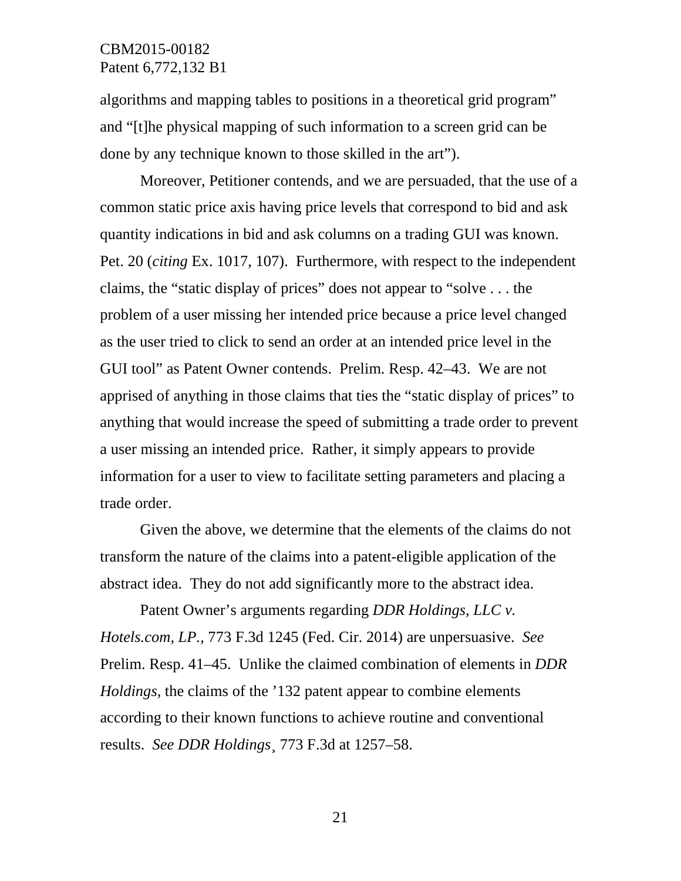algorithms and mapping tables to positions in a theoretical grid program" and "[t]he physical mapping of such information to a screen grid can be done by any technique known to those skilled in the art").

Moreover, Petitioner contends, and we are persuaded, that the use of a common static price axis having price levels that correspond to bid and ask quantity indications in bid and ask columns on a trading GUI was known. Pet. 20 (*citing* Ex. 1017, 107). Furthermore, with respect to the independent claims, the "static display of prices" does not appear to "solve . . . the problem of a user missing her intended price because a price level changed as the user tried to click to send an order at an intended price level in the GUI tool" as Patent Owner contends. Prelim. Resp. 42–43. We are not apprised of anything in those claims that ties the "static display of prices" to anything that would increase the speed of submitting a trade order to prevent a user missing an intended price. Rather, it simply appears to provide information for a user to view to facilitate setting parameters and placing a trade order.

Given the above, we determine that the elements of the claims do not transform the nature of the claims into a patent-eligible application of the abstract idea. They do not add significantly more to the abstract idea.

Patent Owner's arguments regarding *DDR Holdings, LLC v. Hotels.com, LP.,* 773 F.3d 1245 (Fed. Cir. 2014) are unpersuasive. *See*  Prelim. Resp. 41–45. Unlike the claimed combination of elements in *DDR Holdings,* the claims of the '132 patent appear to combine elements according to their known functions to achieve routine and conventional results. *See DDR Holdings*¸ 773 F.3d at 1257–58.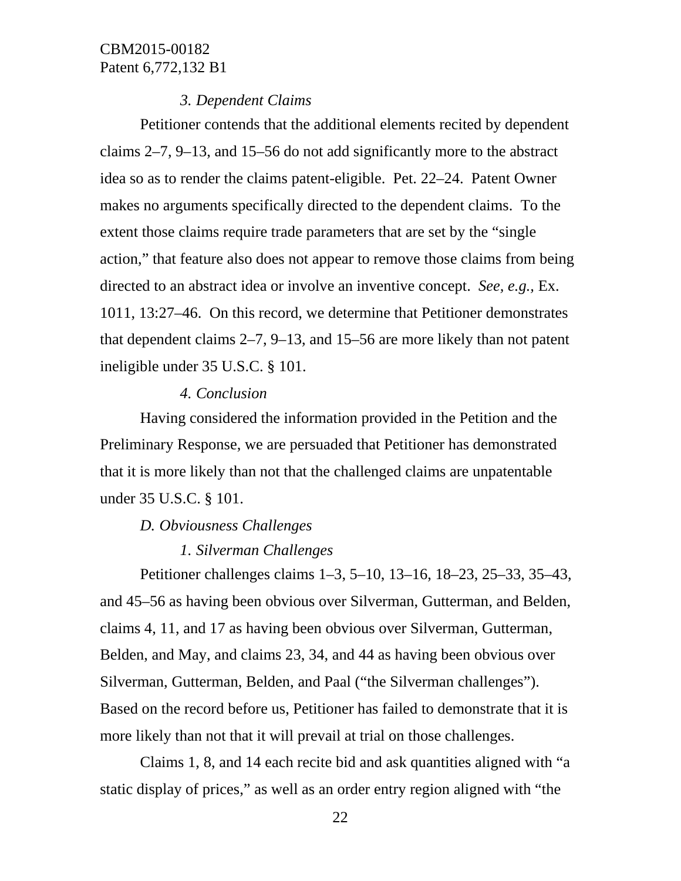# *3. Dependent Claims*

Petitioner contends that the additional elements recited by dependent claims 2–7, 9–13, and 15–56 do not add significantly more to the abstract idea so as to render the claims patent-eligible. Pet. 22–24. Patent Owner makes no arguments specifically directed to the dependent claims. To the extent those claims require trade parameters that are set by the "single action," that feature also does not appear to remove those claims from being directed to an abstract idea or involve an inventive concept. *See, e.g.,* Ex. 1011, 13:27–46. On this record, we determine that Petitioner demonstrates that dependent claims 2–7, 9–13, and 15–56 are more likely than not patent ineligible under 35 U.S.C. § 101.

#### *4. Conclusion*

Having considered the information provided in the Petition and the Preliminary Response, we are persuaded that Petitioner has demonstrated that it is more likely than not that the challenged claims are unpatentable under 35 U.S.C. § 101.

# *D. Obviousness Challenges*

# *1. Silverman Challenges*

Petitioner challenges claims 1–3, 5–10, 13–16, 18–23, 25–33, 35–43, and 45–56 as having been obvious over Silverman, Gutterman, and Belden, claims 4, 11, and 17 as having been obvious over Silverman, Gutterman, Belden, and May, and claims 23, 34, and 44 as having been obvious over Silverman, Gutterman, Belden, and Paal ("the Silverman challenges"). Based on the record before us, Petitioner has failed to demonstrate that it is more likely than not that it will prevail at trial on those challenges.

Claims 1, 8, and 14 each recite bid and ask quantities aligned with "a static display of prices," as well as an order entry region aligned with "the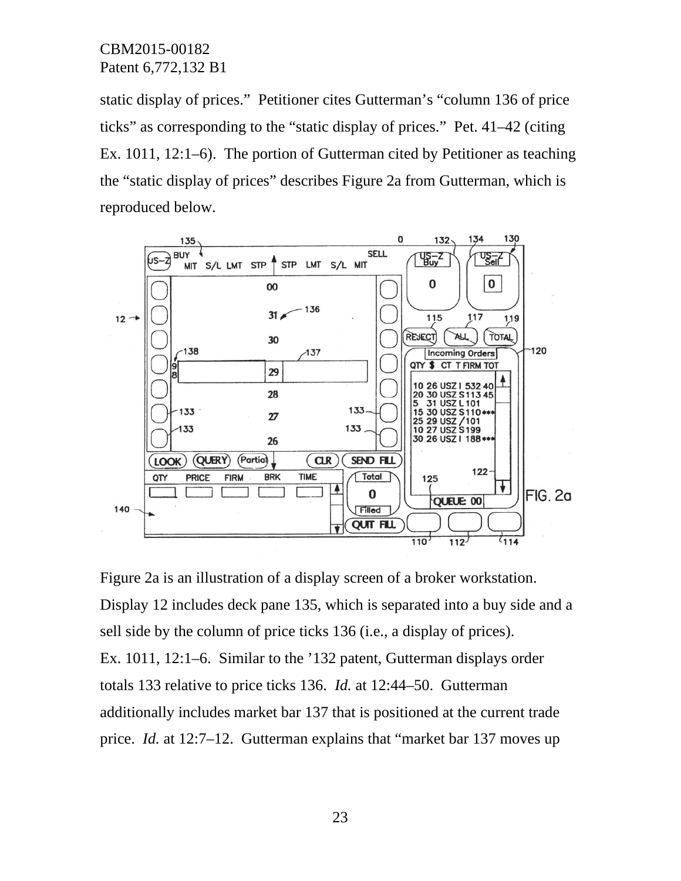static display of prices." Petitioner cites Gutterman's "column 136 of price ticks" as corresponding to the "static display of prices." Pet. 41–42 (citing Ex. 1011, 12:1–6). The portion of Gutterman cited by Petitioner as teaching the "static display of prices" describes Figure 2a from Gutterman, which is reproduced below.



Figure 2a is an illustration of a display screen of a broker workstation. Display 12 includes deck pane 135, which is separated into a buy side and a sell side by the column of price ticks 136 (i.e., a display of prices). Ex. 1011, 12:1–6. Similar to the '132 patent, Gutterman displays order totals 133 relative to price ticks 136. *Id.* at 12:44–50. Gutterman additionally includes market bar 137 that is positioned at the current trade price. *Id.* at 12:7–12. Gutterman explains that "market bar 137 moves up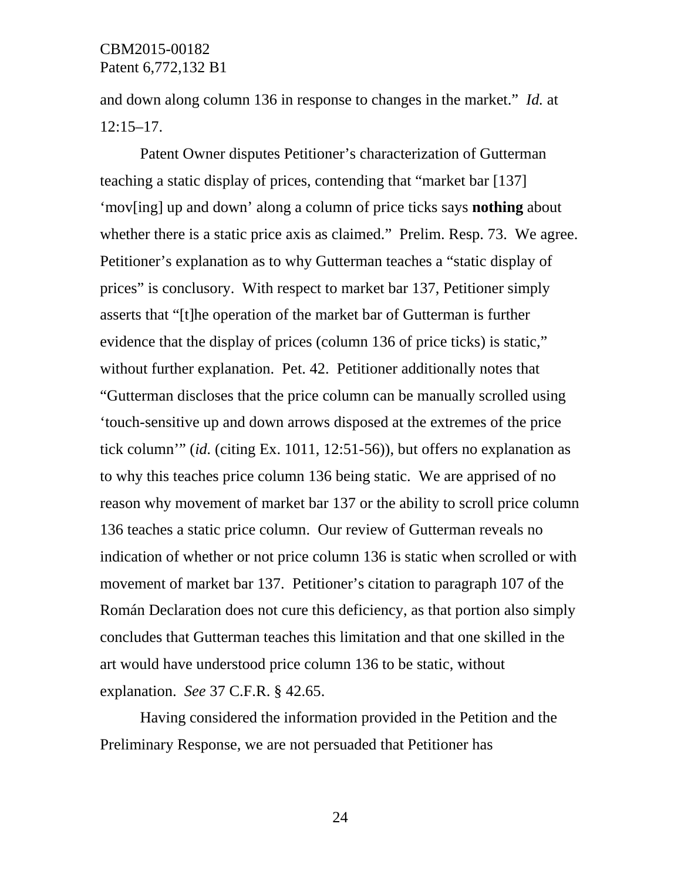and down along column 136 in response to changes in the market." *Id.* at 12:15–17.

Patent Owner disputes Petitioner's characterization of Gutterman teaching a static display of prices, contending that "market bar [137] 'mov[ing] up and down' along a column of price ticks says **nothing** about whether there is a static price axis as claimed." Prelim. Resp. 73. We agree. Petitioner's explanation as to why Gutterman teaches a "static display of prices" is conclusory. With respect to market bar 137, Petitioner simply asserts that "[t]he operation of the market bar of Gutterman is further evidence that the display of prices (column 136 of price ticks) is static," without further explanation. Pet. 42. Petitioner additionally notes that "Gutterman discloses that the price column can be manually scrolled using 'touch-sensitive up and down arrows disposed at the extremes of the price tick column'" (*id.* (citing Ex. 1011, 12:51-56)), but offers no explanation as to why this teaches price column 136 being static. We are apprised of no reason why movement of market bar 137 or the ability to scroll price column 136 teaches a static price column. Our review of Gutterman reveals no indication of whether or not price column 136 is static when scrolled or with movement of market bar 137. Petitioner's citation to paragraph 107 of the Román Declaration does not cure this deficiency, as that portion also simply concludes that Gutterman teaches this limitation and that one skilled in the art would have understood price column 136 to be static, without explanation. *See* 37 C.F.R. § 42.65.

Having considered the information provided in the Petition and the Preliminary Response, we are not persuaded that Petitioner has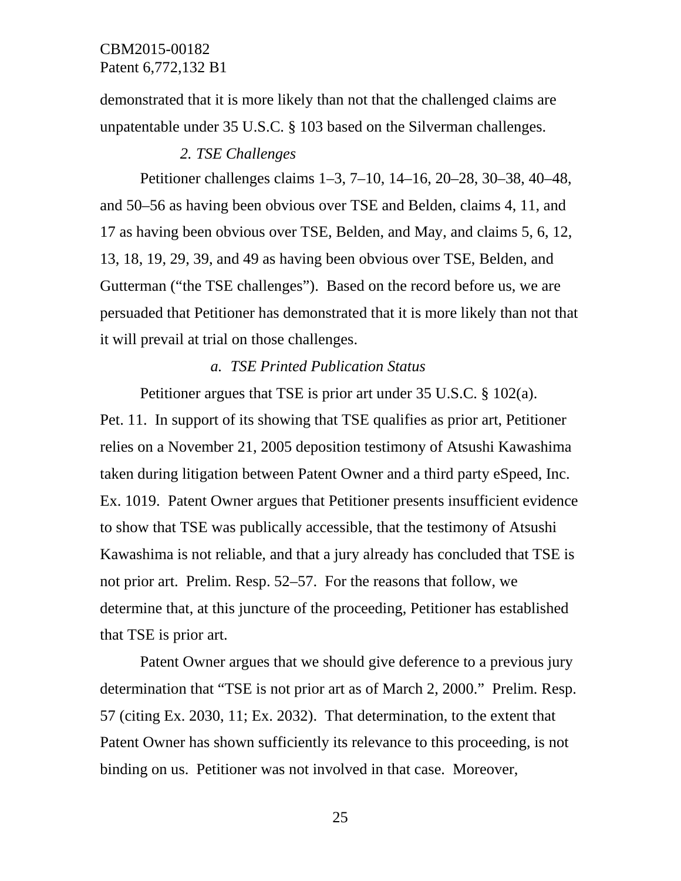demonstrated that it is more likely than not that the challenged claims are unpatentable under 35 U.S.C. § 103 based on the Silverman challenges.

#### *2. TSE Challenges*

Petitioner challenges claims 1–3, 7–10, 14–16, 20–28, 30–38, 40–48, and 50–56 as having been obvious over TSE and Belden, claims 4, 11, and 17 as having been obvious over TSE, Belden, and May, and claims 5, 6, 12, 13, 18, 19, 29, 39, and 49 as having been obvious over TSE, Belden, and Gutterman ("the TSE challenges"). Based on the record before us, we are persuaded that Petitioner has demonstrated that it is more likely than not that it will prevail at trial on those challenges.

#### *a. TSE Printed Publication Status*

Petitioner argues that TSE is prior art under 35 U.S.C. § 102(a). Pet. 11. In support of its showing that TSE qualifies as prior art, Petitioner relies on a November 21, 2005 deposition testimony of Atsushi Kawashima taken during litigation between Patent Owner and a third party eSpeed, Inc. Ex. 1019. Patent Owner argues that Petitioner presents insufficient evidence to show that TSE was publically accessible, that the testimony of Atsushi Kawashima is not reliable, and that a jury already has concluded that TSE is not prior art. Prelim. Resp. 52–57. For the reasons that follow, we determine that, at this juncture of the proceeding, Petitioner has established that TSE is prior art.

Patent Owner argues that we should give deference to a previous jury determination that "TSE is not prior art as of March 2, 2000." Prelim. Resp. 57 (citing Ex. 2030, 11; Ex. 2032). That determination, to the extent that Patent Owner has shown sufficiently its relevance to this proceeding, is not binding on us. Petitioner was not involved in that case. Moreover,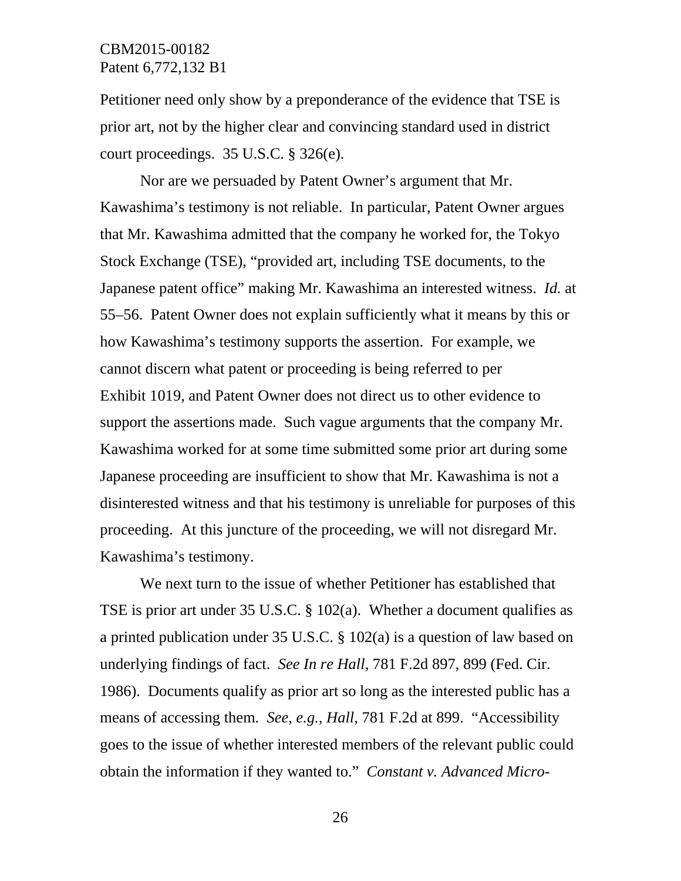Petitioner need only show by a preponderance of the evidence that TSE is prior art, not by the higher clear and convincing standard used in district court proceedings. 35 U.S.C. § 326(e).

Nor are we persuaded by Patent Owner's argument that Mr. Kawashima's testimony is not reliable. In particular, Patent Owner argues that Mr. Kawashima admitted that the company he worked for, the Tokyo Stock Exchange (TSE), "provided art, including TSE documents, to the Japanese patent office" making Mr. Kawashima an interested witness. *Id.* at 55–56. Patent Owner does not explain sufficiently what it means by this or how Kawashima's testimony supports the assertion. For example, we cannot discern what patent or proceeding is being referred to per Exhibit 1019, and Patent Owner does not direct us to other evidence to support the assertions made. Such vague arguments that the company Mr. Kawashima worked for at some time submitted some prior art during some Japanese proceeding are insufficient to show that Mr. Kawashima is not a disinterested witness and that his testimony is unreliable for purposes of this proceeding. At this juncture of the proceeding, we will not disregard Mr. Kawashima's testimony.

We next turn to the issue of whether Petitioner has established that TSE is prior art under 35 U.S.C. § 102(a). Whether a document qualifies as a printed publication under 35 U.S.C. § 102(a) is a question of law based on underlying findings of fact. *See In re Hall*, 781 F.2d 897, 899 (Fed. Cir. 1986). Documents qualify as prior art so long as the interested public has a means of accessing them. *See, e.g., Hall*, 781 F.2d at 899. "Accessibility goes to the issue of whether interested members of the relevant public could obtain the information if they wanted to." *Constant v. Advanced Micro-*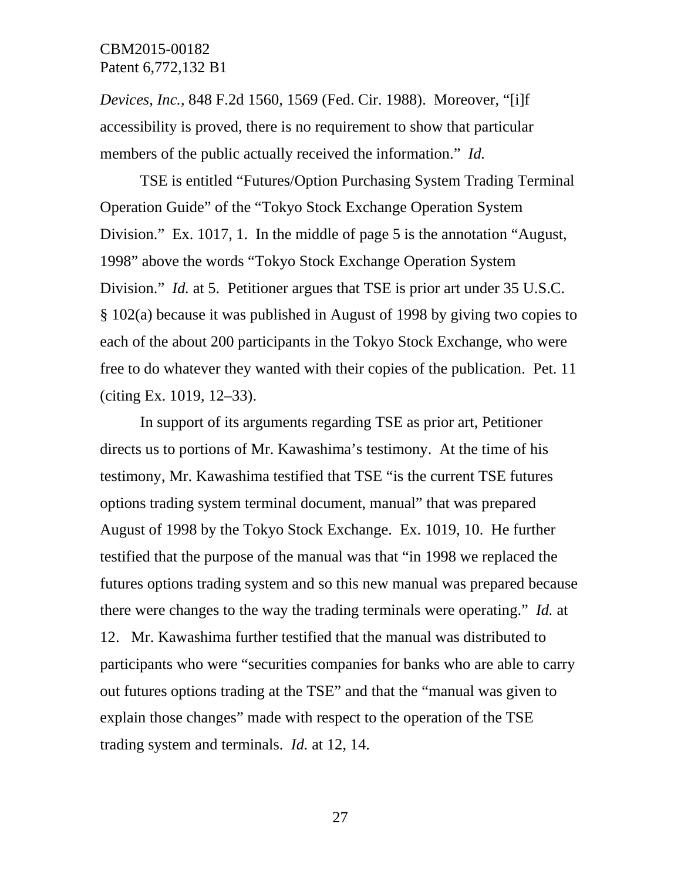*Devices, Inc.*, 848 F.2d 1560, 1569 (Fed. Cir. 1988). Moreover, "[i]f accessibility is proved, there is no requirement to show that particular members of the public actually received the information." *Id.*

TSE is entitled "Futures/Option Purchasing System Trading Terminal Operation Guide" of the "Tokyo Stock Exchange Operation System Division." Ex. 1017, 1. In the middle of page 5 is the annotation "August, 1998" above the words "Tokyo Stock Exchange Operation System Division." *Id.* at 5. Petitioner argues that TSE is prior art under 35 U.S.C. § 102(a) because it was published in August of 1998 by giving two copies to each of the about 200 participants in the Tokyo Stock Exchange, who were free to do whatever they wanted with their copies of the publication. Pet. 11 (citing Ex. 1019, 12–33).

In support of its arguments regarding TSE as prior art, Petitioner directs us to portions of Mr. Kawashima's testimony. At the time of his testimony, Mr. Kawashima testified that TSE "is the current TSE futures options trading system terminal document, manual" that was prepared August of 1998 by the Tokyo Stock Exchange. Ex. 1019, 10. He further testified that the purpose of the manual was that "in 1998 we replaced the futures options trading system and so this new manual was prepared because there were changes to the way the trading terminals were operating." *Id.* at 12. Mr. Kawashima further testified that the manual was distributed to participants who were "securities companies for banks who are able to carry out futures options trading at the TSE" and that the "manual was given to explain those changes" made with respect to the operation of the TSE trading system and terminals. *Id.* at 12, 14.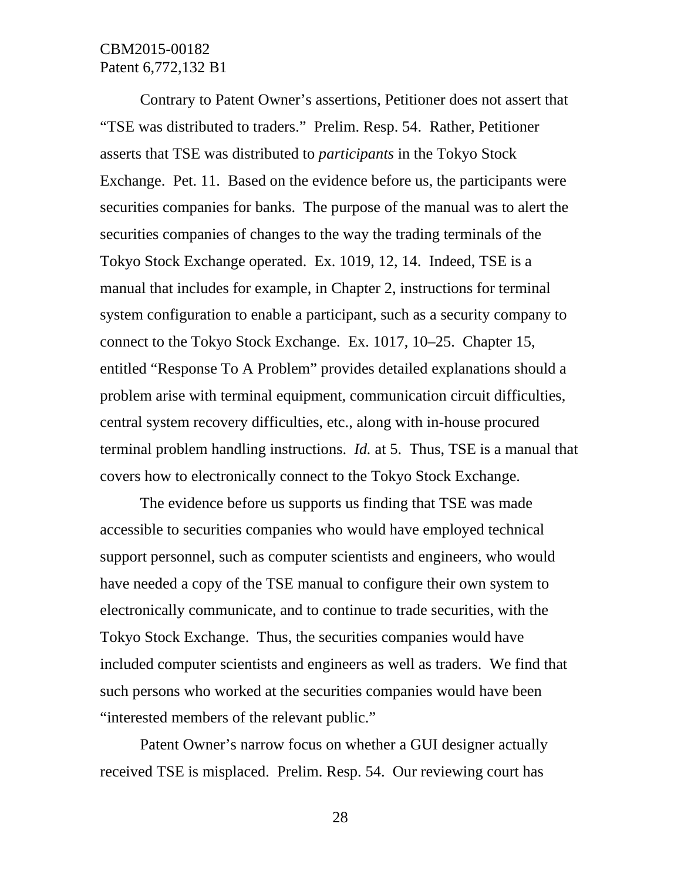Contrary to Patent Owner's assertions, Petitioner does not assert that "TSE was distributed to traders." Prelim. Resp. 54. Rather, Petitioner asserts that TSE was distributed to *participants* in the Tokyo Stock Exchange. Pet. 11. Based on the evidence before us, the participants were securities companies for banks. The purpose of the manual was to alert the securities companies of changes to the way the trading terminals of the Tokyo Stock Exchange operated. Ex. 1019, 12, 14. Indeed, TSE is a manual that includes for example, in Chapter 2, instructions for terminal system configuration to enable a participant, such as a security company to connect to the Tokyo Stock Exchange. Ex. 1017, 10–25. Chapter 15, entitled "Response To A Problem" provides detailed explanations should a problem arise with terminal equipment, communication circuit difficulties, central system recovery difficulties, etc., along with in-house procured terminal problem handling instructions. *Id.* at 5. Thus, TSE is a manual that covers how to electronically connect to the Tokyo Stock Exchange.

The evidence before us supports us finding that TSE was made accessible to securities companies who would have employed technical support personnel, such as computer scientists and engineers, who would have needed a copy of the TSE manual to configure their own system to electronically communicate, and to continue to trade securities, with the Tokyo Stock Exchange. Thus, the securities companies would have included computer scientists and engineers as well as traders. We find that such persons who worked at the securities companies would have been "interested members of the relevant public."

Patent Owner's narrow focus on whether a GUI designer actually received TSE is misplaced. Prelim. Resp. 54. Our reviewing court has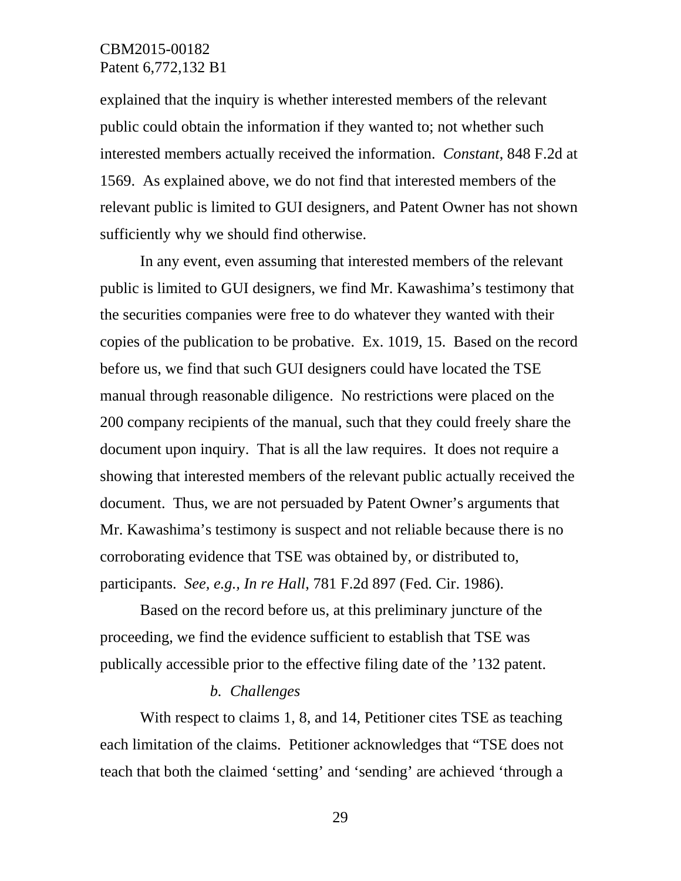explained that the inquiry is whether interested members of the relevant public could obtain the information if they wanted to; not whether such interested members actually received the information. *Constant*, 848 F.2d at 1569. As explained above, we do not find that interested members of the relevant public is limited to GUI designers, and Patent Owner has not shown sufficiently why we should find otherwise.

In any event, even assuming that interested members of the relevant public is limited to GUI designers, we find Mr. Kawashima's testimony that the securities companies were free to do whatever they wanted with their copies of the publication to be probative. Ex. 1019, 15. Based on the record before us, we find that such GUI designers could have located the TSE manual through reasonable diligence. No restrictions were placed on the 200 company recipients of the manual, such that they could freely share the document upon inquiry. That is all the law requires. It does not require a showing that interested members of the relevant public actually received the document. Thus, we are not persuaded by Patent Owner's arguments that Mr. Kawashima's testimony is suspect and not reliable because there is no corroborating evidence that TSE was obtained by, or distributed to, participants. *See, e.g., In re Hall*, 781 F.2d 897 (Fed. Cir. 1986).

Based on the record before us, at this preliminary juncture of the proceeding, we find the evidence sufficient to establish that TSE was publically accessible prior to the effective filing date of the '132 patent.

#### *b. Challenges*

With respect to claims 1, 8, and 14, Petitioner cites TSE as teaching each limitation of the claims. Petitioner acknowledges that "TSE does not teach that both the claimed 'setting' and 'sending' are achieved 'through a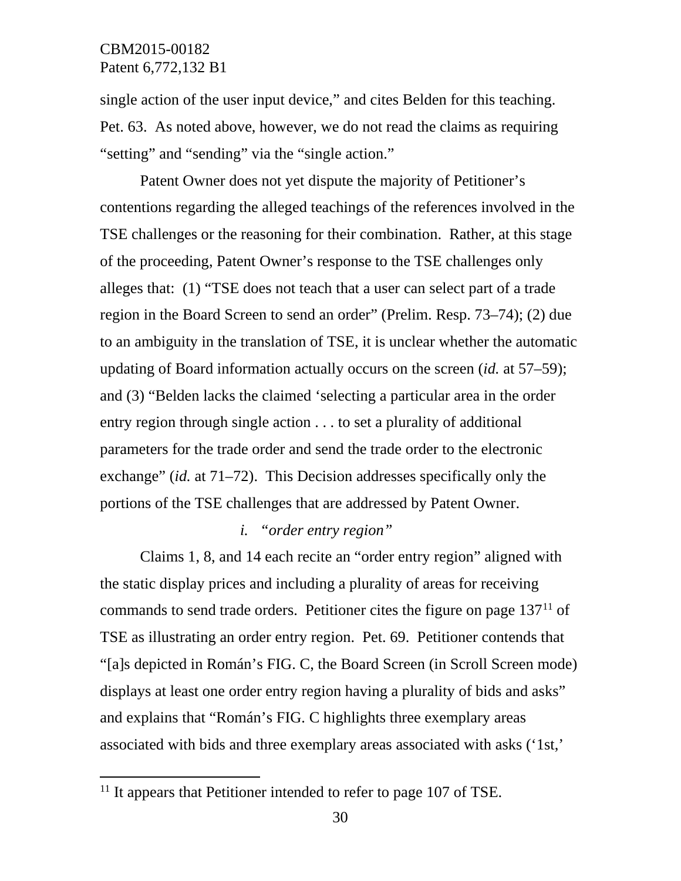single action of the user input device," and cites Belden for this teaching. Pet. 63. As noted above, however, we do not read the claims as requiring "setting" and "sending" via the "single action."

Patent Owner does not yet dispute the majority of Petitioner's contentions regarding the alleged teachings of the references involved in the TSE challenges or the reasoning for their combination. Rather, at this stage of the proceeding, Patent Owner's response to the TSE challenges only alleges that: (1) "TSE does not teach that a user can select part of a trade region in the Board Screen to send an order" (Prelim. Resp. 73–74); (2) due to an ambiguity in the translation of TSE, it is unclear whether the automatic updating of Board information actually occurs on the screen (*id.* at 57–59); and (3) "Belden lacks the claimed 'selecting a particular area in the order entry region through single action . . . to set a plurality of additional parameters for the trade order and send the trade order to the electronic exchange" (*id.* at 71–72). This Decision addresses specifically only the portions of the TSE challenges that are addressed by Patent Owner.

### *i. "order entry region"*

Claims 1, 8, and 14 each recite an "order entry region" aligned with the static display prices and including a plurality of areas for receiving commands to send trade orders. Petitioner cites the figure on page  $137<sup>11</sup>$  $137<sup>11</sup>$  $137<sup>11</sup>$  of TSE as illustrating an order entry region. Pet. 69. Petitioner contends that "[a]s depicted in Román's FIG. C, the Board Screen (in Scroll Screen mode) displays at least one order entry region having a plurality of bids and asks" and explains that "Román's FIG. C highlights three exemplary areas associated with bids and three exemplary areas associated with asks ('1st,'

l

<span id="page-29-0"></span> $11$  It appears that Petitioner intended to refer to page 107 of TSE.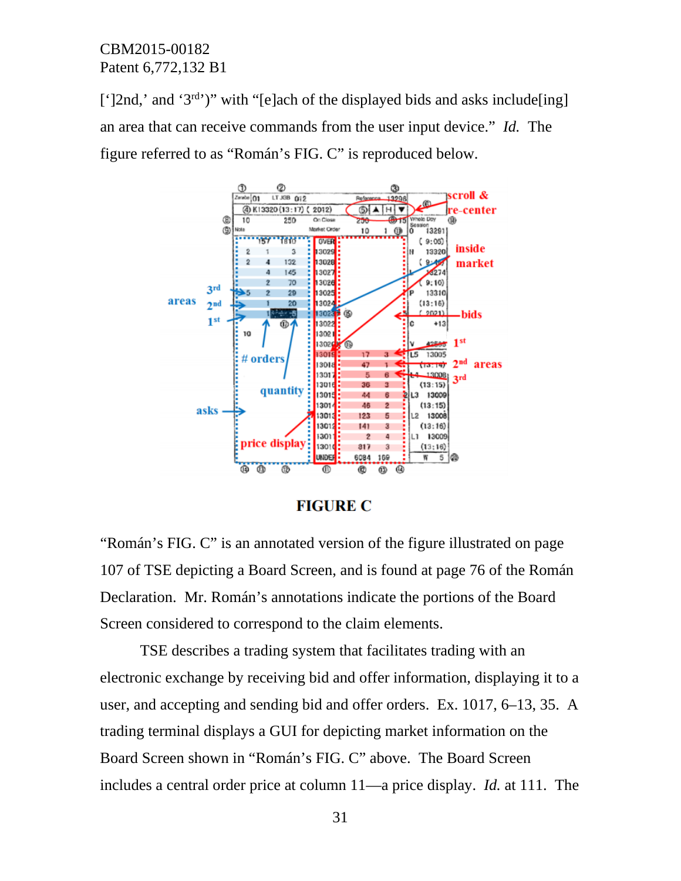[' $|2nd$ ,' and ' $3<sup>rd</sup>$ ')" with "[e]ach of the displayed bids and asks include[ing] an area that can receive commands from the user input device." *Id.* The figure referred to as "Román's FIG. C" is reproduced below.



# **FIGURE C**

"Román's FIG. C" is an annotated version of the figure illustrated on page 107 of TSE depicting a Board Screen, and is found at page 76 of the Román Declaration. Mr. Román's annotations indicate the portions of the Board Screen considered to correspond to the claim elements.

TSE describes a trading system that facilitates trading with an electronic exchange by receiving bid and offer information, displaying it to a user, and accepting and sending bid and offer orders. Ex. 1017, 6–13, 35. A trading terminal displays a GUI for depicting market information on the Board Screen shown in "Román's FIG. C" above. The Board Screen includes a central order price at column 11—a price display. *Id.* at 111. The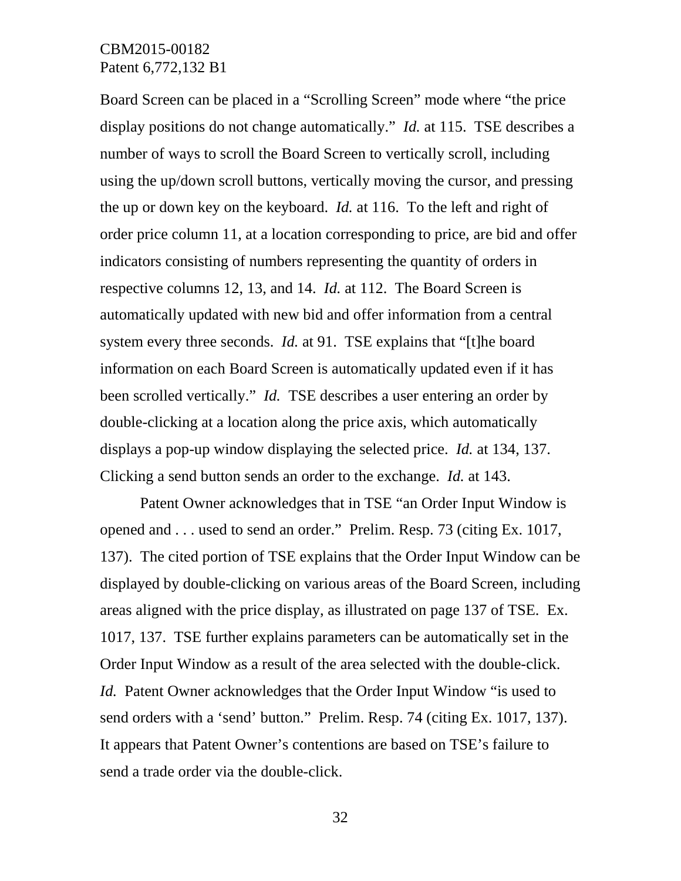Board Screen can be placed in a "Scrolling Screen" mode where "the price display positions do not change automatically." *Id.* at 115. TSE describes a number of ways to scroll the Board Screen to vertically scroll, including using the up/down scroll buttons, vertically moving the cursor, and pressing the up or down key on the keyboard. *Id.* at 116. To the left and right of order price column 11, at a location corresponding to price, are bid and offer indicators consisting of numbers representing the quantity of orders in respective columns 12, 13, and 14. *Id.* at 112. The Board Screen is automatically updated with new bid and offer information from a central system every three seconds. *Id.* at 91. TSE explains that "[t]he board information on each Board Screen is automatically updated even if it has been scrolled vertically." *Id.* TSE describes a user entering an order by double-clicking at a location along the price axis, which automatically displays a pop-up window displaying the selected price. *Id.* at 134, 137. Clicking a send button sends an order to the exchange. *Id.* at 143.

Patent Owner acknowledges that in TSE "an Order Input Window is opened and . . . used to send an order." Prelim. Resp. 73 (citing Ex. 1017, 137). The cited portion of TSE explains that the Order Input Window can be displayed by double-clicking on various areas of the Board Screen, including areas aligned with the price display, as illustrated on page 137 of TSE. Ex. 1017, 137. TSE further explains parameters can be automatically set in the Order Input Window as a result of the area selected with the double-click. *Id.* Patent Owner acknowledges that the Order Input Window "is used to send orders with a 'send' button." Prelim. Resp. 74 (citing Ex. 1017, 137). It appears that Patent Owner's contentions are based on TSE's failure to send a trade order via the double-click.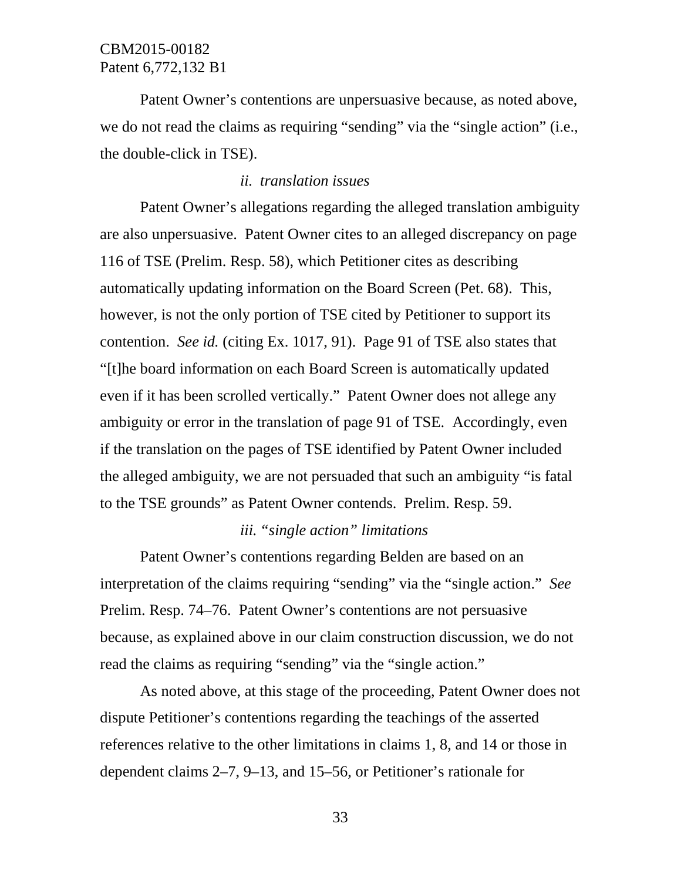Patent Owner's contentions are unpersuasive because, as noted above, we do not read the claims as requiring "sending" via the "single action" (i.e., the double-click in TSE).

#### *ii. translation issues*

Patent Owner's allegations regarding the alleged translation ambiguity are also unpersuasive. Patent Owner cites to an alleged discrepancy on page 116 of TSE (Prelim. Resp. 58), which Petitioner cites as describing automatically updating information on the Board Screen (Pet. 68). This, however, is not the only portion of TSE cited by Petitioner to support its contention. *See id.* (citing Ex. 1017, 91). Page 91 of TSE also states that "[t]he board information on each Board Screen is automatically updated even if it has been scrolled vertically." Patent Owner does not allege any ambiguity or error in the translation of page 91 of TSE. Accordingly, even if the translation on the pages of TSE identified by Patent Owner included the alleged ambiguity, we are not persuaded that such an ambiguity "is fatal to the TSE grounds" as Patent Owner contends. Prelim. Resp. 59.

#### *iii. "single action" limitations*

Patent Owner's contentions regarding Belden are based on an interpretation of the claims requiring "sending" via the "single action." *See* Prelim. Resp. 74–76. Patent Owner's contentions are not persuasive because, as explained above in our claim construction discussion, we do not read the claims as requiring "sending" via the "single action."

As noted above, at this stage of the proceeding, Patent Owner does not dispute Petitioner's contentions regarding the teachings of the asserted references relative to the other limitations in claims 1, 8, and 14 or those in dependent claims 2–7, 9–13, and 15–56, or Petitioner's rationale for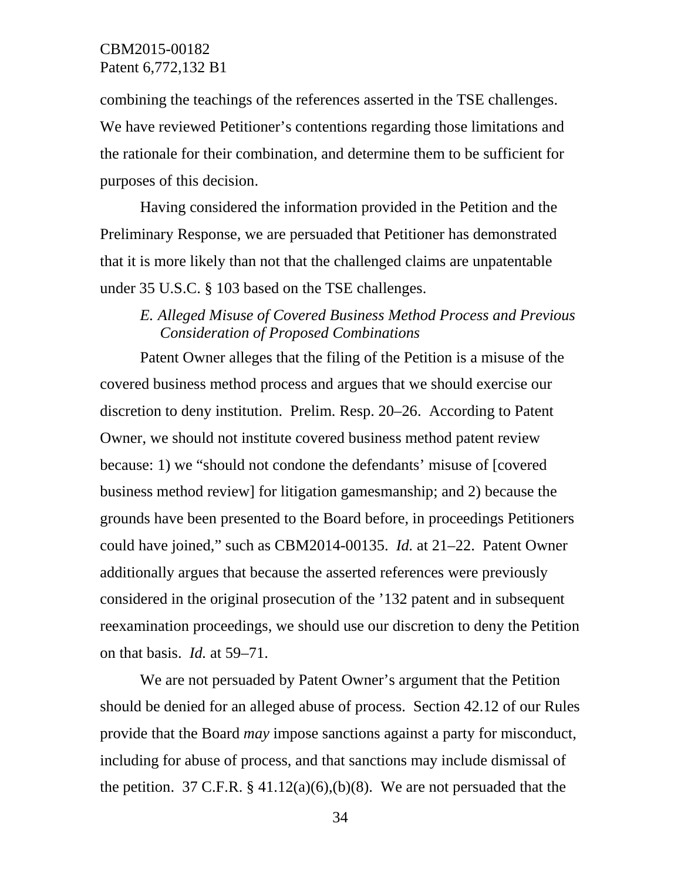combining the teachings of the references asserted in the TSE challenges. We have reviewed Petitioner's contentions regarding those limitations and the rationale for their combination, and determine them to be sufficient for purposes of this decision.

Having considered the information provided in the Petition and the Preliminary Response, we are persuaded that Petitioner has demonstrated that it is more likely than not that the challenged claims are unpatentable under 35 U.S.C. § 103 based on the TSE challenges.

# *E. Alleged Misuse of Covered Business Method Process and Previous Consideration of Proposed Combinations*

Patent Owner alleges that the filing of the Petition is a misuse of the covered business method process and argues that we should exercise our discretion to deny institution. Prelim. Resp. 20–26. According to Patent Owner, we should not institute covered business method patent review because: 1) we "should not condone the defendants' misuse of [covered business method review] for litigation gamesmanship; and 2) because the grounds have been presented to the Board before, in proceedings Petitioners could have joined," such as CBM2014-00135. *Id.* at 21–22. Patent Owner additionally argues that because the asserted references were previously considered in the original prosecution of the '132 patent and in subsequent reexamination proceedings, we should use our discretion to deny the Petition on that basis. *Id.* at 59–71.

We are not persuaded by Patent Owner's argument that the Petition should be denied for an alleged abuse of process. Section 42.12 of our Rules provide that the Board *may* impose sanctions against a party for misconduct, including for abuse of process, and that sanctions may include dismissal of the petition. 37 C.F.R.  $\S 41.12(a)(6),(b)(8)$ . We are not persuaded that the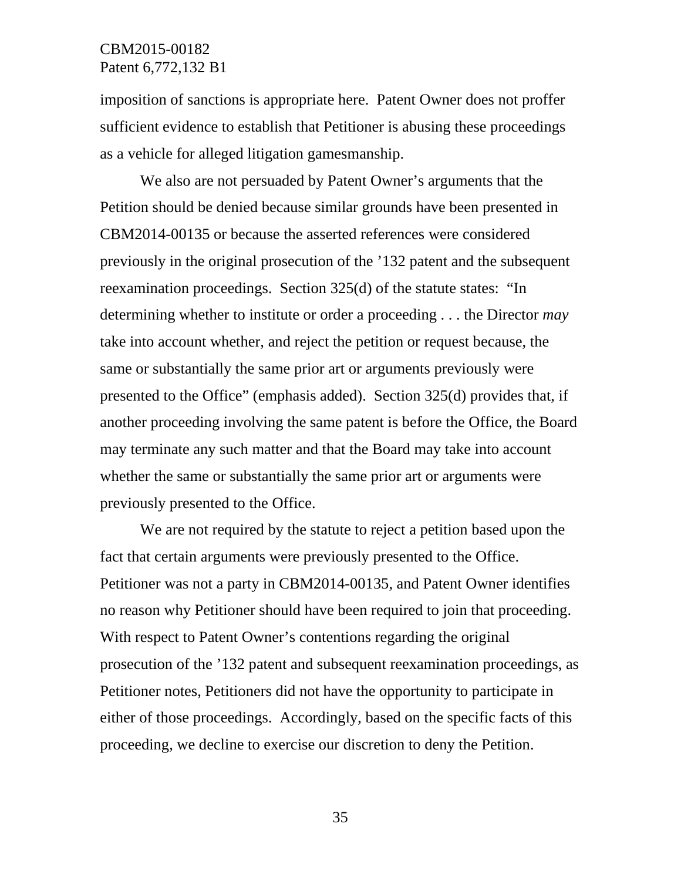imposition of sanctions is appropriate here. Patent Owner does not proffer sufficient evidence to establish that Petitioner is abusing these proceedings as a vehicle for alleged litigation gamesmanship.

We also are not persuaded by Patent Owner's arguments that the Petition should be denied because similar grounds have been presented in CBM2014-00135 or because the asserted references were considered previously in the original prosecution of the '132 patent and the subsequent reexamination proceedings. Section 325(d) of the statute states: "In determining whether to institute or order a proceeding . . . the Director *may* take into account whether, and reject the petition or request because, the same or substantially the same prior art or arguments previously were presented to the Office" (emphasis added). Section 325(d) provides that, if another proceeding involving the same patent is before the Office, the Board may terminate any such matter and that the Board may take into account whether the same or substantially the same prior art or arguments were previously presented to the Office.

We are not required by the statute to reject a petition based upon the fact that certain arguments were previously presented to the Office. Petitioner was not a party in CBM2014-00135, and Patent Owner identifies no reason why Petitioner should have been required to join that proceeding. With respect to Patent Owner's contentions regarding the original prosecution of the '132 patent and subsequent reexamination proceedings, as Petitioner notes, Petitioners did not have the opportunity to participate in either of those proceedings. Accordingly, based on the specific facts of this proceeding, we decline to exercise our discretion to deny the Petition.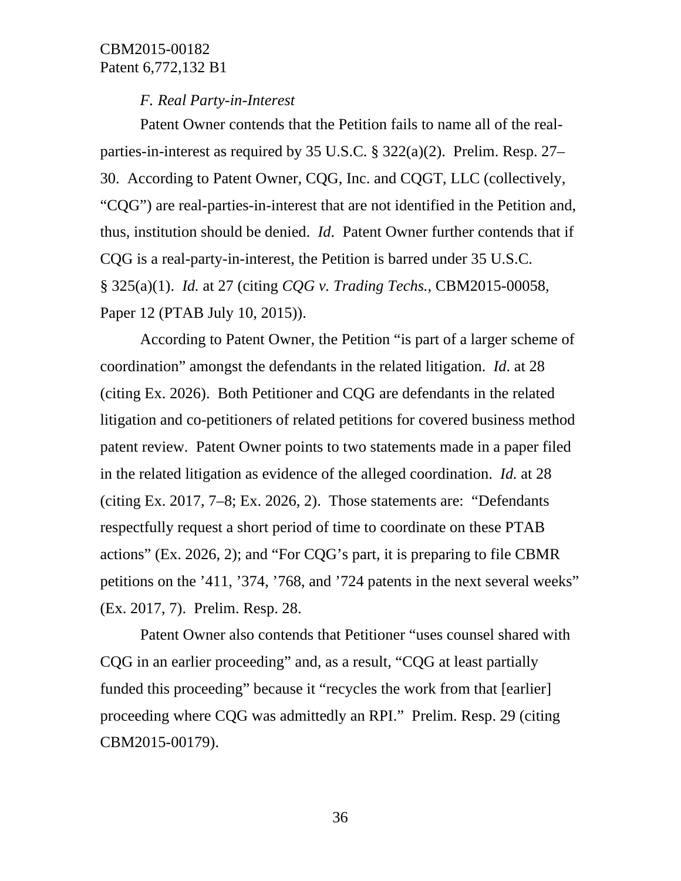#### *F. Real Party-in-Interest*

Patent Owner contends that the Petition fails to name all of the realparties-in-interest as required by 35 U.S.C. § 322(a)(2). Prelim. Resp. 27– 30. According to Patent Owner, CQG, Inc. and CQGT, LLC (collectively, "CQG") are real-parties-in-interest that are not identified in the Petition and, thus, institution should be denied. *Id*. Patent Owner further contends that if CQG is a real-party-in-interest, the Petition is barred under 35 U.S.C. § 325(a)(1). *Id.* at 27 (citing *CQG v. Trading Techs.,* CBM2015-00058, Paper 12 (PTAB July 10, 2015)).

According to Patent Owner, the Petition "is part of a larger scheme of coordination" amongst the defendants in the related litigation. *Id*. at 28 (citing Ex. 2026). Both Petitioner and CQG are defendants in the related litigation and co-petitioners of related petitions for covered business method patent review. Patent Owner points to two statements made in a paper filed in the related litigation as evidence of the alleged coordination. *Id.* at 28 (citing Ex. 2017, 7–8; Ex. 2026, 2). Those statements are: "Defendants respectfully request a short period of time to coordinate on these PTAB actions" (Ex. 2026, 2); and "For CQG's part, it is preparing to file CBMR petitions on the '411, '374, '768, and '724 patents in the next several weeks" (Ex. 2017, 7). Prelim. Resp. 28.

Patent Owner also contends that Petitioner "uses counsel shared with CQG in an earlier proceeding" and, as a result, "CQG at least partially funded this proceeding" because it "recycles the work from that [earlier] proceeding where CQG was admittedly an RPI." Prelim. Resp. 29 (citing CBM2015-00179).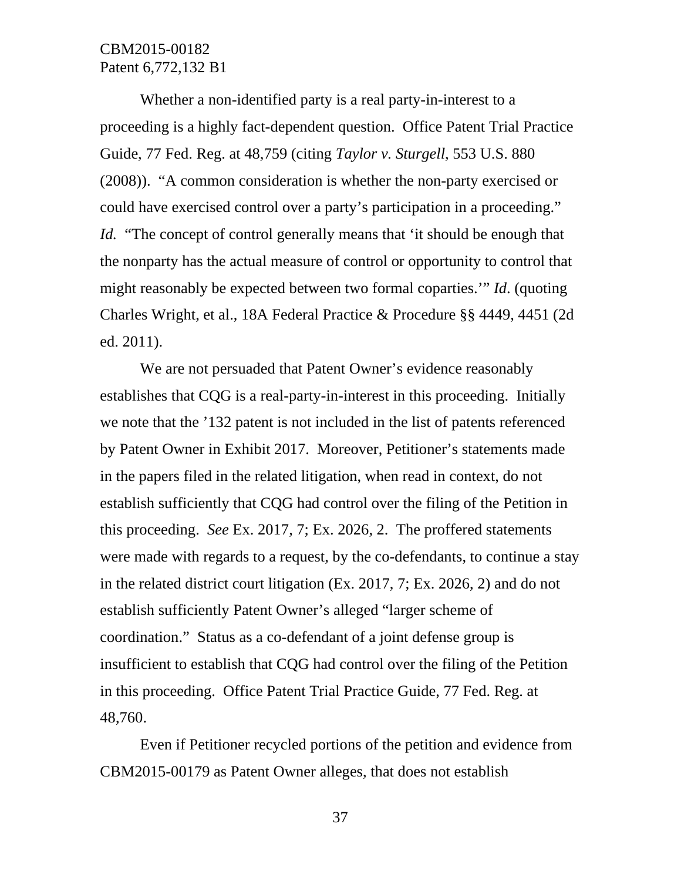Whether a non-identified party is a real party-in-interest to a proceeding is a highly fact-dependent question. Office Patent Trial Practice Guide, 77 Fed. Reg. at 48,759 (citing *Taylor v. Sturgell*, 553 U.S. 880 (2008)). "A common consideration is whether the non-party exercised or could have exercised control over a party's participation in a proceeding." *Id.* "The concept of control generally means that 'it should be enough that the nonparty has the actual measure of control or opportunity to control that might reasonably be expected between two formal coparties.'" *Id*. (quoting Charles Wright, et al., 18A Federal Practice & Procedure §§ 4449, 4451 (2d ed. 2011).

We are not persuaded that Patent Owner's evidence reasonably establishes that CQG is a real-party-in-interest in this proceeding. Initially we note that the '132 patent is not included in the list of patents referenced by Patent Owner in Exhibit 2017. Moreover, Petitioner's statements made in the papers filed in the related litigation, when read in context, do not establish sufficiently that CQG had control over the filing of the Petition in this proceeding. *See* Ex. 2017, 7; Ex. 2026, 2. The proffered statements were made with regards to a request, by the co-defendants, to continue a stay in the related district court litigation (Ex. 2017, 7; Ex. 2026, 2) and do not establish sufficiently Patent Owner's alleged "larger scheme of coordination." Status as a co-defendant of a joint defense group is insufficient to establish that CQG had control over the filing of the Petition in this proceeding. Office Patent Trial Practice Guide, 77 Fed. Reg. at 48,760.

Even if Petitioner recycled portions of the petition and evidence from CBM2015-00179 as Patent Owner alleges, that does not establish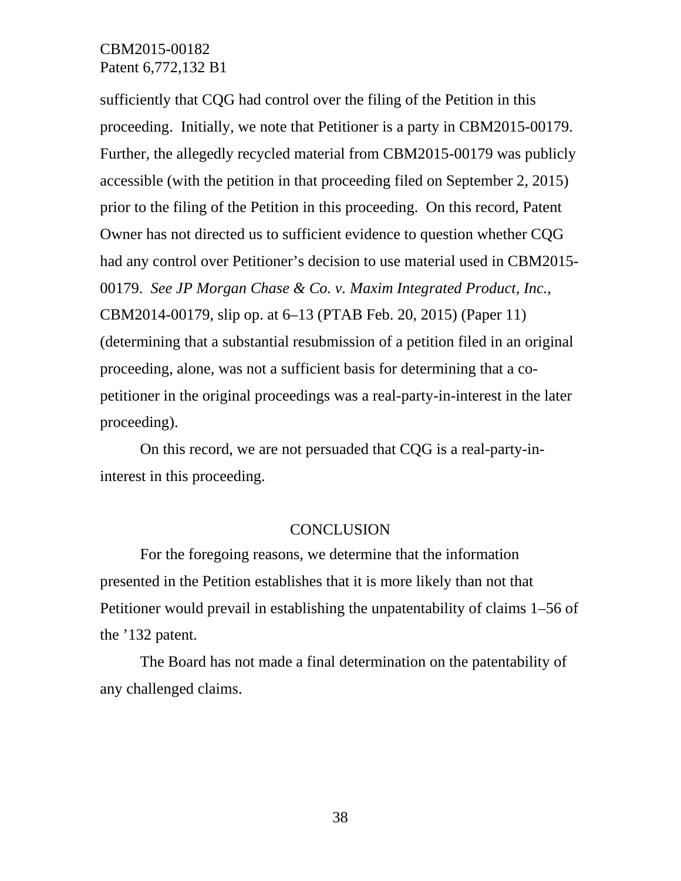sufficiently that CQG had control over the filing of the Petition in this proceeding. Initially, we note that Petitioner is a party in CBM2015-00179. Further, the allegedly recycled material from CBM2015-00179 was publicly accessible (with the petition in that proceeding filed on September 2, 2015) prior to the filing of the Petition in this proceeding. On this record, Patent Owner has not directed us to sufficient evidence to question whether CQG had any control over Petitioner's decision to use material used in CBM2015- 00179. *See JP Morgan Chase & Co. v. Maxim Integrated Product, Inc.,* CBM2014-00179, slip op. at 6–13 (PTAB Feb. 20, 2015) (Paper 11) (determining that a substantial resubmission of a petition filed in an original proceeding, alone, was not a sufficient basis for determining that a copetitioner in the original proceedings was a real-party-in-interest in the later proceeding).

On this record, we are not persuaded that CQG is a real-party-ininterest in this proceeding.

#### **CONCLUSION**

For the foregoing reasons, we determine that the information presented in the Petition establishes that it is more likely than not that Petitioner would prevail in establishing the unpatentability of claims 1–56 of the '132 patent.

The Board has not made a final determination on the patentability of any challenged claims.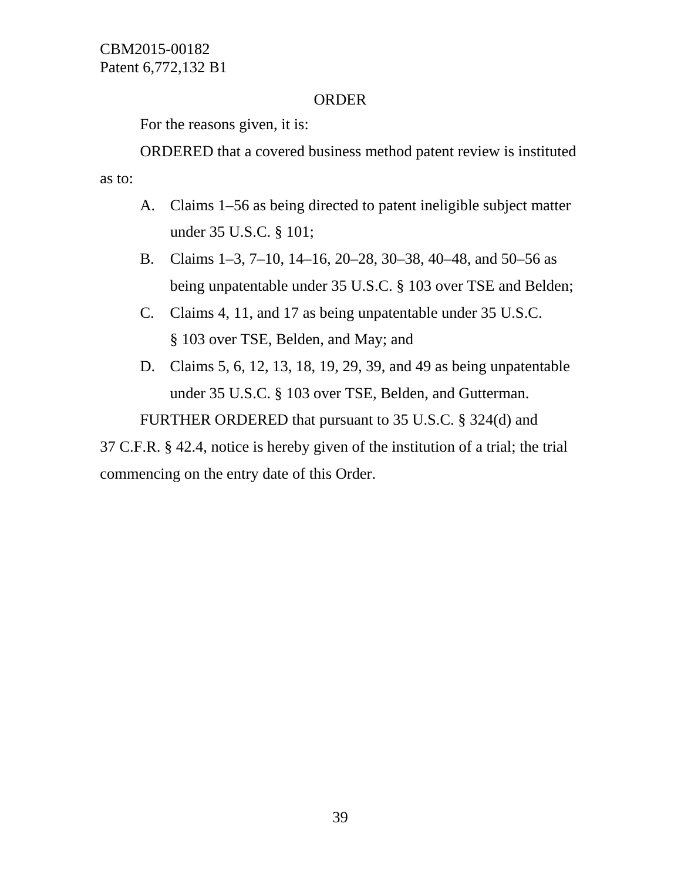# ORDER

For the reasons given, it is:

ORDERED that a covered business method patent review is instituted as to:

- A. Claims 1–56 as being directed to patent ineligible subject matter under 35 U.S.C. § 101;
- B. Claims 1–3, 7–10, 14–16, 20–28, 30–38, 40–48, and 50–56 as being unpatentable under 35 U.S.C. § 103 over TSE and Belden;
- C. Claims 4, 11, and 17 as being unpatentable under 35 U.S.C. § 103 over TSE, Belden, and May; and
- D. Claims 5, 6, 12, 13, 18, 19, 29, 39, and 49 as being unpatentable under 35 U.S.C. § 103 over TSE, Belden, and Gutterman.

FURTHER ORDERED that pursuant to 35 U.S.C. § 324(d) and

37 C.F.R. § 42.4, notice is hereby given of the institution of a trial; the trial commencing on the entry date of this Order.